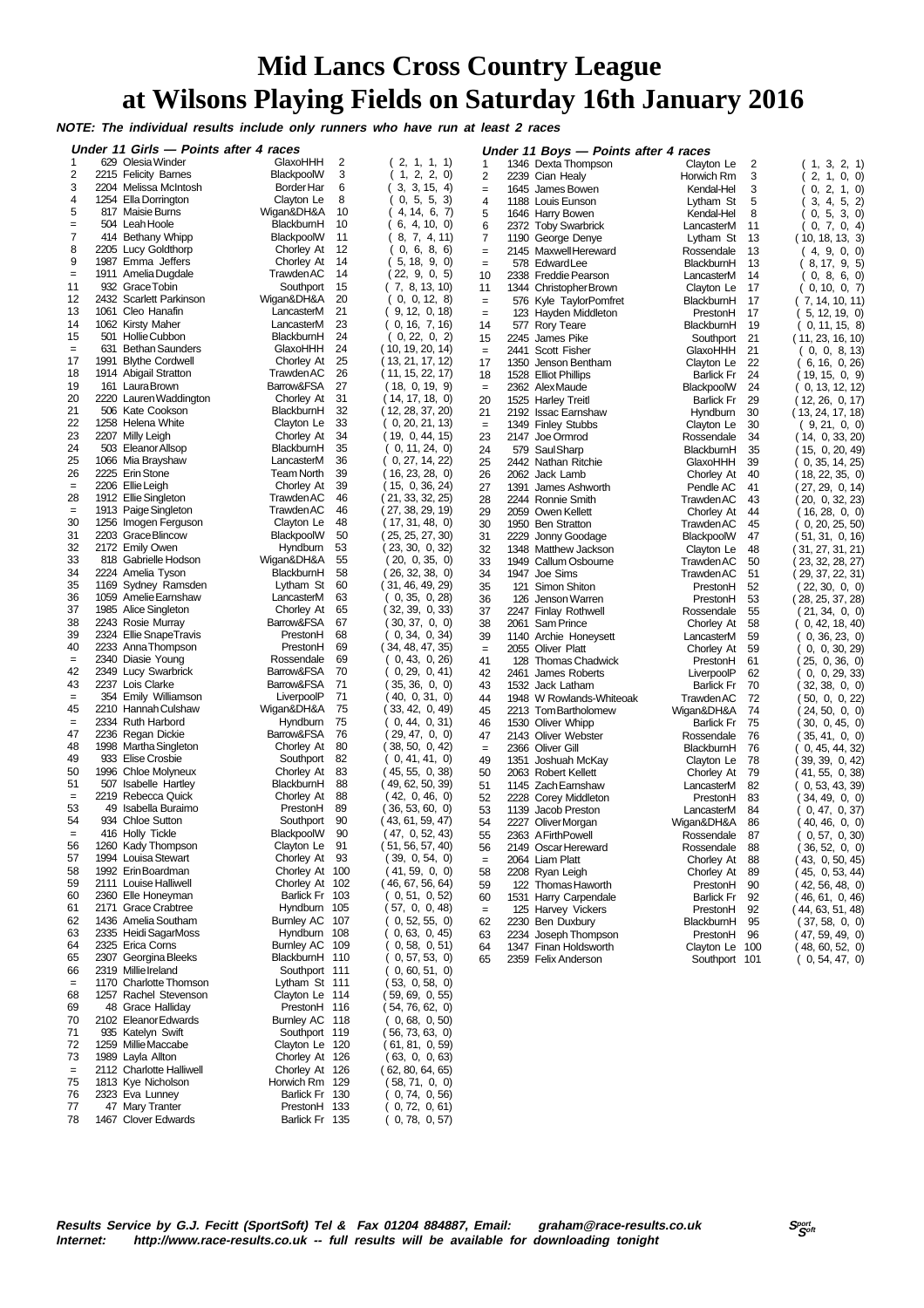## **Mid Lancs Cross Country League at Wilsons Playing Fields on Saturday 16th January 2016**

**NOTE: The individual results include only runners who have run at least 2 races**

|                 | Under 11 Girls - Points after 4 races |                        |    |                   |                 | Under 11 Boys - Points after 4 races  |                   |     |                      |
|-----------------|---------------------------------------|------------------------|----|-------------------|-----------------|---------------------------------------|-------------------|-----|----------------------|
| 1               | 629 Olesia Winder                     | GlaxoHHH               | 2  | 2, 1, 1, 1)       | 1               | 1346 Dexta Thompson                   | Clayton Le        | 2   | (1, 3, 2, 1)         |
| 2               | 2215 Felicity Barnes                  | BlackpoolW             | 3  | 2, 2, 0<br>1.     | $\overline{2}$  | 2239 Cian Healy                       | Horwich Rm        | 3   | 2, 1, 0, 0           |
| 3               | 2204 Melissa McIntosh                 | Border Har             | 6  | 3, 3, 15, 4       | $=$             | 1645 James Bowen                      | Kendal-Hel        | 3   | 0, 2, 1, 0           |
| 4               | 1254 Ella Dorrington                  | Clayton Le             | 8  | 0, 5, 5, 3        | $\overline{4}$  | 1188 Louis Eunson                     | Lytham St         | 5   | 3, 4, 5, 2)          |
| 5               | 817 Maisie Burns                      | Wigan&DH&A             | 10 | 4, 14, 6, 7       | 5               | 1646 Harry Bowen                      | Kendal-Hel        | 8   | 5, 3, 0)<br>0,       |
| $=$             | 504 Leah Hoole                        | BlackburnH             | 10 | 4, 10, 0)<br>6.   | 6               | 2372 Toby Swarbrick                   | LancasterM        | 11  | 0, 7, 0, 4           |
| $\overline{7}$  | 414 Bethany Whipp                     | BlackpoolW             | 11 | 7, 4, 11<br>8,    | 7               | 1190 George Denye                     | Lytham St         | 13  | (10, 18, 13, 3)      |
| 8               | 2205 Lucy Goldthorp                   | Chorley At             | 12 | 0, 6, 8, 6        | $=$             | 2145 Maxwell Hereward                 | Rossendale        | 13  | (4, 9, 0, 0)         |
| 9               | 1987 Emma Jeffers                     | Chorley At             | 14 | 5, 18, 9, 0       | $=$             | 578 Edward Lee                        | BlackburnH        | 13  | 8, 17, 9, 5          |
| $=$             | 1911 Amelia Dugdale                   | Trawden AC             | 14 | 22, 9, 0, 5       | 10              | 2338 Freddie Pearson                  | LancasterM        | 14  | 0, 8, 6, 0)          |
| 11              | 932 Grace Tobin                       | Southport              | 15 | (7, 8, 13, 10)    | 11              | 1344 Christopher Brown                | Clayton Le        | 17  | 0, 10, 0, 7          |
| 12              | 2432 Scarlett Parkinson               | Wigan&DH&A             | 20 | 0, 0, 12, 8       | $=$             | 576 Kyle TaylorPomfret                | BlackburnH        | 17  | (7, 14, 10, 11)      |
| 13              | 1061 Cleo Hanafin                     | LancasterM             | 21 | 9, 12, 0, 18      | $=$             | 123 Hayden Middleton                  | PrestonH          | 17  | 5, 12, 19, 0         |
| 14              | 1062 Kirsty Maher                     | LancasterM             | 23 | 0, 16, 7, 16      | 14              | 577 Rory Teare                        | BlackburnH        | 19  | 0, 11, 15, 8         |
| 15              | 501 Hollie Cubbon                     | BlackburnH             | 24 | 0, 22, 0, 2       | 15              | 2245 James Pike                       | Southport         | 21  | (11, 23, 16, 10)     |
| $=$             | 631 Bethan Saunders                   | GlaxoHHH               | 24 | (10, 19, 20, 14)  | $\quad \  \  =$ | 2441 Scott Fisher                     | GlaxoHHH          | 21  | 0, 0, 8, 13          |
| 17              | 1991 Blythe Cordwell                  | Chorley At             | 25 | (13, 21, 17, 12)  | 17              | 1350<br>Jenson Bentham                | Clayton Le        | 22  | (6, 16, 0, 26)       |
| 18              | 1914 Abigail Stratton                 | Trawden AC             | 26 | (11, 15, 22, 17)  | 18              | 1528 Elliot Phillips                  | <b>Barlick Fr</b> | 24  | (19,15,0,9)          |
| 19              | 161 Laura Brown                       | Barrow&FSA             | 27 | (18, 0, 19, 9)    | $\equiv$        | 2362 AlexMaude                        | BlackpoolW        | 24  | 0, 13, 12, 12)       |
| 20              | 2220 Lauren Waddington                | Chorley At             | 31 | (14, 17, 18, 0)   | 20              | 1525 Harley Treitl                    | <b>Barlick Fr</b> | 29  | (12, 26, 0, 17)      |
| 21              | 506 Kate Cookson                      | BlackburnH             | 32 | (12, 28, 37, 20)  | 21              | 2192 Issac Earnshaw                   | Hyndburn          | 30  | (13, 24, 17, 18)     |
| 22              | 1258 Helena White                     | Clayton Le             | 33 | 0, 20, 21, 13     | $=$             | 1349 Finley Stubbs                    | Clayton Le        | 30  | (9, 21, 0, 0)        |
| 23              | 2207 Milly Leigh                      | Chorley At             | 34 | (19, 0, 44, 15)   | 23              | 2147<br>Joe Ormrod                    | Rossendale        | 34  | (14, 0, 33, 20)      |
| 24              | 503 Eleanor Allsop                    | BlackburnH             | 35 | 0, 11, 24, 0)     | 24              | 579 Saul Sharp                        | BlackburnH        | 35  | (15, 0, 20, 49)      |
| 25              | 1066 Mia Brayshaw                     | LancasterM             | 36 | 0, 27, 14, 22     | 25              | 2442 Nathan Ritchie                   | GlaxoHHH          | 39  | 0, 35, 14, 25        |
| 26              | 2225 Erin Stone                       | Team North             | 39 | (16, 23, 28, 0)   |                 |                                       |                   |     |                      |
| $\equiv$        | 2206 Ellie Leigh                      | Chorley At             | 39 | (15, 0, 36, 24)   | 26              | 2062 Jack Lamb<br>1391 James Ashworth | Chorley At        | 40  | ( 18, 22, 35,  0)    |
| 28              | 1912 Ellie Singleton                  | <b>Trawden AC</b>      | 46 | (21, 33, 32, 25)  | 27<br>28        | 2244 Ronnie Smith                     | Pendle AC         | 41  | 27, 29, 0, 14)       |
| $\equiv$        | 1913 Paige Singleton                  | <b>Trawden AC</b>      | 46 | ( 27, 38, 29, 19) |                 |                                       | <b>Trawden AC</b> | 43  | (20, 0, 32, 23)      |
| 30              | 1256 Imogen Ferguson                  | Clayton Le             | 48 | (17, 31, 48, 0)   | 29              | 2059 Owen Kellett                     | Chorley At        | 44  | (16, 28, 0, 0)       |
| 31              | 2203 Grace Blincow                    |                        | 50 | (25, 25, 27, 30)  | 30              | 1950 Ben Stratton                     | Trawden AC        | 45  | $( \ 0, 20, 25, 50)$ |
| 32              | 2172 Emily Owen                       | BlackpoolW<br>Hyndburn | 53 |                   | 31              | 2229 Jonny Goodage                    | BlackpoolW        | 47  | (51, 31, 0, 16)      |
| 33              | 818 Gabrielle Hodson                  |                        | 55 | (23, 30, 0, 32)   | 32              | 1348 Matthew Jackson                  | Clayton Le        | 48  | ( 31, 27, 31, 21)    |
|                 |                                       | Wigan&DH&A             |    | (20, 0,35, 0)     | 33              | 1949 Callum Osbourne                  | <b>Trawden AC</b> | 50  | (23, 32, 28, 27)     |
| 34              | 2224 Amelia Tyson                     | BlackburnH             | 58 | (26, 32, 38, 0)   | 34              | 1947 Joe Sims                         | TrawdenAC         | 51  | (29, 37, 22, 31)     |
| 35              | 1169 Sydney Ramsden                   | Lytham St              | 60 | (31, 46, 49, 29)  | 35              | 121 Simon Shiton                      | PrestonH          | 52  | (22, 30, 0, 0)       |
| 36              | 1059 Amelie Earnshaw                  | LancasterM             | 63 | (0, 35, 0, 28)    | 36              | 126 Jenson Warren                     | PrestonH          | 53  | (28, 25, 37, 28)     |
| 37              | 1985 Alice Singleton                  | Chorley At             | 65 | (32, 39, 0, 33)   | 37              | 2247 Finlay Rothwell                  | Rossendale        | 55  | (21, 34, 0, 0)       |
| 38              | 2243 Rosie Murray                     | Barrow&FSA             | 67 | (30, 37, 0, 0)    | 38              | 2061<br><b>Sam Prince</b>             | Chorley At        | 58  | (0, 42, 18, 40)      |
| 39              | 2324 Ellie Snape Travis               | PrestonH               | 68 | 0, 34, 0, 34      | 39              | 1140 Archie Honeysett                 | LancasterM        | 59  | 0, 36, 23, 0         |
| 40              | 2233 Anna Thompson                    | PrestonH               | 69 | (34, 48, 47, 35)  | $\quad \  \  =$ | 2055 Oliver Platt                     | Chorley At        | 59  | 0, 0, 30, 29         |
| $\quad \  \  =$ | 2340 Diasie Young                     | Rossendale             | 69 | 0, 43, 0, 26      | 41              | 128 Thomas Chadwick                   | PrestonH          | 61  | 25, 0, 36, 0         |
| 42              | 2349 Lucy Swarbrick                   | Barrow&FSA             | 70 | 0, 29, 0, 41      | 42              | 2461 James Roberts                    | LiverpoolP        | 62  | 0, 29, 33<br>0.      |
| 43              | 2237 Lois Clarke                      | Barrow&FSA             | 71 | 35, 36, 0, 0      | 43              | 1532 Jack Latham                      | <b>Barlick Fr</b> | 70  | (32, 38, 0, 0)       |
| $=$             | 354 Emily Williamson                  | LiverpoolP             | 71 | 40, 0, 31, 0      | 44              | 1948 W Rowlands-Whiteoak              | Trawden AC        | 72  | ( 50, 0, 0, 22)      |
| 45              | 2210 Hannah Culshaw                   | Wigan&DH&A             | 75 | (33, 42, 0, 49)   | 45              | 2213 Tom Bartholomew                  | Wigan&DH&A        | 74  | 24, 50, 0, 0         |
| $=$             | 2334 Ruth Harbord                     | Hyndburn               | 75 | 0, 44, 0, 31)     | 46              | 1530 Oliver Whipp                     | <b>Barlick Fr</b> | 75  | 30, 0, 45, 0         |
| 47              | 2236 Regan Dickie                     | Barrow&FSA             | 76 | 29, 47, 0, 0      | 47              | 2143 Oliver Webster                   | Rossendale        | 76  | (35, 41, 0, 0)       |
| 48              | 1998 Martha Singleton                 | Chorley At             | 80 | (38, 50, 0, 42)   | $=$             | 2366 Oliver Gill                      | BlackburnH        | 76  | 0, 45, 44, 32        |
| 49              | 933 Elise Crosbie                     | Southport              | 82 | (0, 41, 41, 0)    | 49              | 1351<br>Joshuah McKay                 | Clayton Le        | 78  | 39, 39, 0, 42        |
| 50              | 1996 Chloe Molyneux                   | Chorley At             | 83 | (45, 55, 0, 38)   | 50              | 2063 Robert Kellett                   | Chorley At        | 79  | 41, 55, 0, 38        |
| 51              | 507 Isabelle Hartley                  | BlackburnH             | 88 | (49, 62, 50, 39)  | 51              | 1145 Zach Earnshaw                    | LancasterM        | 82  | 0, 53, 43, 39        |
| $=$             | 2219 Rebecca Quick                    | Chorley At             | 88 | (42, 0, 46, 0)    | 52              | 2228 Corey Middleton                  | PrestonH          | 83  | 34, 49, 0, 0         |
| 53              | 49 Isabella Buraimo                   | PrestonH               | 89 | 36, 53, 60, 0)    | 53              | 1139<br>Jacob Preston                 | LancasterM        | 84  | 0, 47, 0, 37         |
| 54              | 934 Chloe Sutton                      | Southport              | 90 | ( 43, 61, 59, 47) | 54              | 2227 Oliver Morgan                    | Wigan&DH&A        | 86  | 40, 46, 0, 0         |
| $=$             | 416 Holly Tickle                      | BlackpoolW             | 90 | (47, 0, 52, 43)   | 55              | 2363 A Firth Powell                   | Rossendale        | 87  | (0, 57, 0, 30)       |
| 56              | 1260 Kady Thompson                    | Clayton Le             | 91 | (51, 56, 57, 40)  | 56              | 2149 Oscar Hereward                   | Rossendale        | 88  | (36, 52, 0, 0)       |
| 57              | 1994 Louisa Stewart                   | Chorley At 93          |    | 39, 0, 54, 0)     | $\equiv$        | 2064 Liam Platt                       | Chorley At        | 88  | (43, 0, 50, 45)      |
| 58              | 1992 Erin Boardman                    | Chorley At 100         |    | 41, 59, 0, 0)     | 58              | 2208 Ryan Leigh                       | Chorley At        | 89  | 45, 0, 53, 44        |
| 59              | 2111 Louise Halliwell                 | Chorley At 102         |    | (46, 67, 56, 64)  | 59              | 122 Thomas Haworth                    | PrestonH          | 90  | 42, 56, 48, 0)       |
| 60              | 2360 Elle Honeyman                    | Barlick Fr 103         |    | (0, 51, 0, 52)    | 60              | 1531 Harry Carpendale                 | <b>Barlick Fr</b> | 92  | (46, 61, 0, 46)      |
| 61              | 2171 Grace Crabtree                   | Hyndburn 105           |    | (57, 0, 0, 48)    | $\equiv$        | 125 Harvey Vickers                    | PrestonH          | 92  | (44, 63, 51, 48)     |
| 62              | 1436 Amelia Southam                   | Burnley AC 107         |    | 0, 52, 55, 0)     | 62              | 2230 Ben Duxbury                      | BlackburnH        | 95  | (37, 58, 0, 0)       |
| 63              | 2335 Heidi SagarMoss                  | Hyndburn 108           |    | 0, 63, 0, 45      | 63              | 2234 Joseph Thompson                  | PrestonH          | -96 | (47, 59, 49, 0)      |
| 64              | 2325 Erica Corns                      | Burnley AC 109         |    | 0, 58, 0, 51)     | 64              | 1347 Finan Holdsworth                 | Clayton Le 100    |     | (48, 60, 52, 0)      |
| 65              | 2307 Georgina Bleeks                  | BlackburnH 110         |    | 0, 57, 53, 0)     | 65              | 2359 Felix Anderson                   | Southport 101     |     | (0, 54, 47, 0)       |
| 66              | 2319 Millie Ireland                   | Southport 111          |    | 0, 60, 51, 0      |                 |                                       |                   |     |                      |
| $=$             | 1170 Charlotte Thomson                | Lytham St 111          |    | 53, 0, 58, 0)     |                 |                                       |                   |     |                      |
| 68              | 1257 Rachel Stevenson                 | Clayton Le 114         |    | 59, 69, 0, 55)    |                 |                                       |                   |     |                      |
| 69              | 48 Grace Halliday                     | PrestonH 116           |    | (54, 76, 62, 0)   |                 |                                       |                   |     |                      |
| 70              | 2102 Eleanor Edwards                  | Burnley AC 118         |    | (0, 68, 0, 50)    |                 |                                       |                   |     |                      |
| 71              | 935 Katelyn Swift                     | Southport 119          |    | (56, 73, 63, 0)   |                 |                                       |                   |     |                      |
| 72              | 1259 Millie Maccabe                   | Clayton Le 120         |    | (61, 81, 0, 59)   |                 |                                       |                   |     |                      |
| 73              | 1989 Layla Allton                     | Chorley At 126         |    | (63, 0, 0, 63)    |                 |                                       |                   |     |                      |
| $=$             | 2112 Charlotte Halliwell              | Chorley At 126         |    | (62, 80, 64, 65)  |                 |                                       |                   |     |                      |
| 75              | 1813 Kye Nicholson                    | Horwich Rm 129         |    |                   |                 |                                       |                   |     |                      |
| 76              | 2323 Eva Lunney                       | Barlick Fr 130         |    | (58, 71, 0, 0)    |                 |                                       |                   |     |                      |
|                 |                                       |                        |    | 0, 74, 0, 56      |                 |                                       |                   |     |                      |

77 47 Mary Tranter PrestonH 133 ( 0, 72, 0, 61) 78 1467 Clover Edwards Barlick Fr 135 ( 0, 78, 0, 57)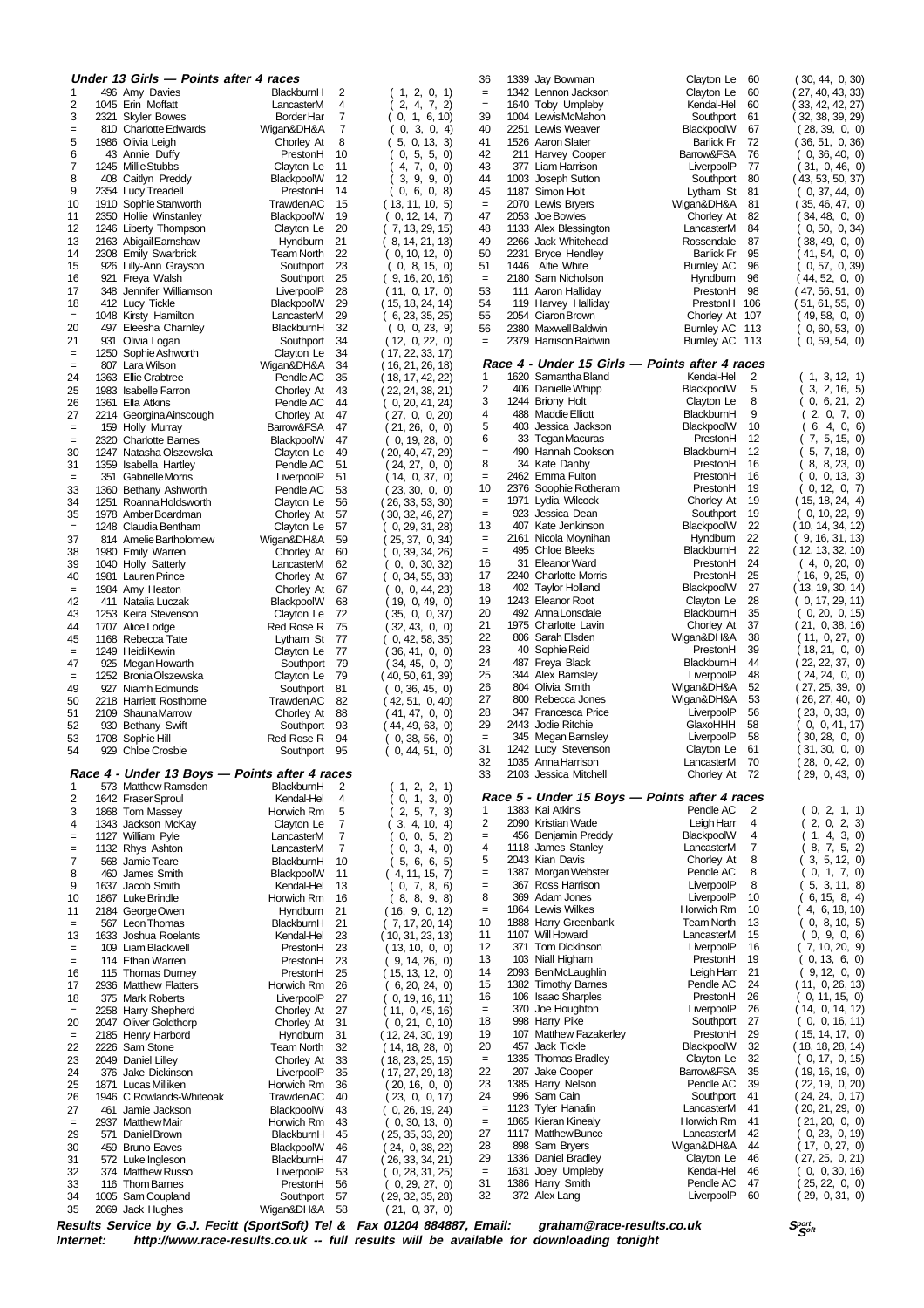|                          | Under 13 Girls - Points after 4 races       |                                               |                     |                                     | 36              |      | 1339 Jay Bowman                          | Clayton Le<br>60                               | (30, 44, 0, 30)                   |
|--------------------------|---------------------------------------------|-----------------------------------------------|---------------------|-------------------------------------|-----------------|------|------------------------------------------|------------------------------------------------|-----------------------------------|
| 1                        | 496 Amy Davies                              | BlackburnH                                    | 2                   | (1, 2, 0, 1)                        | $=$             |      | 1342 Lennon Jackson                      | Clayton Le<br>60                               | (27, 40, 43, 33)                  |
| 2                        | 1045 Erin Moffatt                           | LancasterM                                    | 4                   | 2, 4, 7, 2)                         | $=$             |      | 1640 Toby Umpleby                        | Kendal-Hel<br>60                               | 33, 42, 42, 27)                   |
| 3                        | 2321 Skyler Bowes                           | Border Har                                    | 7<br>$\overline{7}$ | 1, 6, 10<br>0,                      | 39              |      | 1004 LewisMcMahon<br>2251 Lewis Weaver   | Southport<br>61                                | (32, 38, 39, 29)                  |
| $=$<br>5                 | 810 Charlotte Edwards<br>1986 Olivia Leigh  | Wigan&DH&A<br>Chorley At                      | 8                   | 0, 3, 0, 4<br>0, 13, 3)<br>5,       | 40<br>41        |      | 1526 Aaron Slater                        | 67<br>BlackpoolW<br>72<br><b>Barlick Fr</b>    | (28, 39, 0, 0)<br>(36, 51, 0, 36) |
| 6                        | 43 Annie Duffy                              | PrestonH                                      | 10                  | 5, 5, 0)<br>0,                      | 42              |      | 211 Harvey Cooper                        | Barrow&FSA<br>76                               | (0, 36, 40, 0)                    |
| $\overline{\mathcal{I}}$ | 1245 Millie Stubbs                          | Clayton Le                                    | 11                  | 4,<br>7, 0, 0                       | 43              |      | 377 Liam Harrison                        | LiverpoolP<br>77                               | (31, 0, 46, 0)                    |
| 8                        | 408 Caitlyn Preddy                          | BlackpoolW                                    | 12                  | 9, 9, 0)<br>3,                      | 44              |      | 1003 Joseph Sutton                       | 80<br>Southport                                | (43, 53, 50, 37)                  |
| 9                        | 2354 Lucy Treadell                          | PrestonH                                      | 14                  | 0, 6, 0, 8                          | 45              |      | 1187 Simon Holt                          | Lytham St<br>81                                | (0, 37, 44, 0)                    |
| 10                       | 1910 Sophie Stanworth                       | Trawden AC                                    | 15                  | (13, 11, 10, 5)                     | $\quad \  \  =$ |      | 2070 Lewis Bryers                        | Wigan&DH&A<br>81                               | (35, 46, 47, 0)                   |
| 11                       | 2350 Hollie Winstanley                      | BlackpoolW                                    | 19                  | 0, 12, 14, 7                        | 47              |      | 2053 Joe Bowles                          | Chorley At<br>82                               | (34, 48, 0, 0)                    |
| 12                       | 1246 Liberty Thompson                       | Clayton Le                                    | 20                  | 7, 13, 29, 15)                      | 48              |      | 1133 Alex Blessington                    | LancasterM<br>84                               | 0, 50, 0, 34                      |
| 13                       | 2163 Abigail Earnshaw                       | Hyndburn                                      | 21                  | (8, 14, 21, 13)                     | 49              |      | 2266 Jack Whitehead                      | 87<br>Rossendale                               | 38, 49, 0, 0                      |
| 14                       | 2308 Emily Swarbrick                        | <b>Team North</b>                             | 22                  | (0, 10, 12, 0)                      | 50              |      | 2231 Bryce Hendley                       | 95<br><b>Barlick Fr</b>                        | ( 41, 54, 0, 0)                   |
| 15                       | 926 Lilly-Ann Grayson                       | Southport                                     | 23                  | 0, 8, 15, 0                         | 51              | 1446 | Alfie White                              | 96<br><b>Burnley AC</b>                        | 0, 57, 0, 39                      |
| 16<br>17                 | 921 Freya Walsh<br>348 Jennifer Williamson  | Southport<br>LiverpoolP                       | 25<br>28            | (9, 16, 20, 16)<br>(11, 0, 17, 0)   | $=$<br>53       | 2180 | Sam Nicholson<br>111 Aaron Halliday      | 96<br>Hyndburn<br>PrestonH<br>98               | 44, 52, 0, 0<br>(47, 56, 51, 0)   |
| 18                       | 412 Lucy Tickle                             | BlackpoolW                                    | 29                  | (15, 18, 24, 14)                    | 54              |      | 119 Harvey Halliday                      | PrestonH<br>106                                | (51, 61, 55, 0)                   |
| $\equiv$                 | 1048 Kirsty Hamilton                        | LancasterM                                    | 29                  | (6, 23, 35, 25)                     | 55              |      | 2054 Ciaron Brown                        | Chorley At<br>107                              | (49,58,0,0)                       |
| 20                       | 497 Eleesha Chamley                         | BlackburnH                                    | 32                  | (0, 0, 23, 9)                       | 56              |      | 2380 MaxwellBaldwin                      | Burnley AC 113                                 | 0, 60, 53, 0)                     |
| 21                       | 931 Olivia Logan                            | Southport                                     | 34                  | (12, 0, 22, 0)                      | $=$             |      | 2379 Harrison Baldwin                    | Burnley AC 113                                 | (0, 59, 54, 0)                    |
| $\equiv$                 | 1250 Sophie Ashworth                        | Clayton Le                                    | 34                  | (17, 22, 33, 17)                    |                 |      |                                          |                                                |                                   |
| $=$                      | 807 Lara Wilson                             | Wigan&DH&A                                    | 34                  | ( 16, 21, 26, 18)                   |                 |      |                                          | Race 4 - Under 15 Girls — Points after 4 races |                                   |
| 24                       | 1363 Ellie Crabtree                         | Pendle AC                                     | 35                  | ( 18, 17, 42, 22)                   | 1               |      | 1620 Samantha Bland                      | Kendal-Hel<br>2                                | 3, 12, 1<br>1,                    |
| 25                       | 1983 Isabelle Farron                        | Chorley At                                    | 43                  | (22, 24, 38, 21)                    | 2               |      | 406 Danielle Whipp                       | 5<br>BlackpoolW                                | 3, 2, 16, 5                       |
| 26                       | 1361 Ella Atkins                            | Pendle AC                                     | 44                  | 0, 20, 41, 24                       | 3               |      | 1244 Briony Holt<br>488 Maddie Elliott   | 8<br>Clayton Le                                | 0, 6, 21, 2)                      |
| 27                       | 2214 Georgina Ainscough                     | Chorley At                                    | 47                  | 27, 0, 0, 20                        | 4<br>5          | 403  | Jessica Jackson                          | 9<br>BlackburnH<br>10<br>BlackpoolW            | 2, 0, 7, 0<br>6, 4, 0, 6          |
| $=$<br>$=$               | 159 Holly Murray<br>2320 Charlotte Barnes   | Barrow&FSA<br>BlackpoolW                      | 47<br>47            | (21, 26, 0, 0)<br>0, 19, 28, 0      | 6               |      | 33 Tegan Macuras                         | PrestonH<br>12                                 | 7, 5, 15, 0                       |
| 30                       | 1247 Natasha Olszewska                      | Clayton Le                                    | 49                  | (20, 40, 47, 29)                    | $=$             |      | 490 Hannah Cookson                       | 12<br>BlackburnH                               | 5, 7, 18, 0                       |
| 31                       | 1359 Isabella Hartley                       | Pendle AC                                     | 51                  | (24, 27, 0, 0)                      | 8               |      | 34 Kate Danby                            | 16<br>PrestonH                                 | 8, 8, 23, 0                       |
| $\equiv$                 | 351 Gabrielle Morris                        | LiverpoolP                                    | 51                  | 14, 0, 37, 0                        | $=$             |      | 2462 Emma Fulton                         | PrestonH<br>16                                 | 0, 0, 13, 3                       |
| 33                       | 1360 Bethany Ashworth                       | Pendle AC                                     | 53                  | (23, 30, 0, 0)                      | 10              |      | 2376 Soophie Rotheram                    | 19<br>PrestonH                                 | 0, 12, 0, 7                       |
| 34                       | 1251 Roanna Holdsworth                      | Clayton Le                                    | 56                  | (26, 33, 53, 30)                    | $=$             |      | 1971 Lydia Wilcock                       | 19<br>Chorley At                               | (15, 18, 24, 4)                   |
| 35                       | 1978 AmberBoardman                          | Chorley At                                    | 57                  | (30, 32, 46, 27)                    | $=$             |      | 923 Jessica Dean                         | Southport<br>19                                | (0, 10, 22, 9)                    |
| $\equiv$                 | 1248 Claudia Bentham                        | Clayton Le                                    | 57                  | 0, 29, 31, 28                       | 13              |      | 407 Kate Jenkinson                       | 22<br>BlackpoolW                               | (10, 14, 34, 12)                  |
| 37                       | 814 Amelie Bartholomew                      | Wigan&DH&A                                    | 59                  | 25, 37, 0, 34)                      | $=$             |      | 2161 Nicola Moynihan                     | 22<br>Hyndburn                                 | 9, 16, 31, 13                     |
| 38                       | 1980 Emily Warren                           | Chorley At                                    | 60                  | 0, 39, 34, 26                       | $=$             |      | 495 Chloe Bleeks                         | 22<br>BlackburnH                               | (12, 13, 32, 10)                  |
| 39                       | 1040 Holly Satterly                         | LancasterM                                    | 62                  | 0, 0, 30, 32)                       | 16<br>17        |      | 31 Eleanor Ward<br>2240 Charlotte Morris | 24<br>PrestonH<br>25<br>PrestonH               | (4, 0, 20, 0)<br>(16, 9, 25, 0)   |
| 40<br>$=$                | 1981 Lauren Prince<br>1984 Amy Heaton       | Chorley At<br>Chorley At                      | 67<br>67            | 0, 34, 55, 33<br>0, 0, 44, 23       | 18              |      | 402 Taylor Holland                       | 27<br>BlackpoolW                               | (13, 19, 30, 14)                  |
| 42                       | 411 Natalia Luczak                          | BlackpoolW                                    | 68                  | 19, 0, 49, 0                        | 19              |      | 1243 Eleanor Root                        | 28<br>Clayton Le                               | (0, 17, 29, 11)                   |
| 43                       | 1253 Keira Stevenson                        | Clayton Le                                    | 72                  | 35, 0, 0, 37                        | 20              |      | 492 Anna Lonsdale                        | 35<br>BlackburnH                               | (0, 20, 0, 15)                    |
| 44                       | 1707 Alice Lodge                            | Red Rose R                                    | 75                  | 32, 43, 0, 0                        | 21              |      | 1975 Charlotte Lavin                     | Chorley At<br>37                               | (21, 0, 38, 16)                   |
| 45                       | 1168 Rebecca Tate                           | Lytham St                                     | 77                  | 0, 42, 58, 35                       | 22              |      | 806 Sarah Elsden                         | 38<br>Wigan&DH&A                               | (11, 0, 27, 0)                    |
| $\equiv$                 | 1249 Heidi Kewin                            | Clayton Le                                    | 77                  | 36, 41, 0, 0                        | 23              | 40   | Sophie Reid                              | 39<br>PrestonH                                 | (18, 21, 0, 0)                    |
| 47                       | 925 Megan Howarth                           | Southport                                     | 79                  | 34, 45, 0, 0                        | 24              |      | 487 Freya Black                          | BlackburnH<br>44                               | (22, 22, 37, 0)                   |
| $=$                      | 1252 Bronia Olszewska                       | Clayton Le                                    | 79                  | (40, 50, 61, 39)                    | 25              |      | 344 Alex Barnsley                        | 48<br>LiverpoolP                               | (24, 24, 0, 0)                    |
| 49                       | 927 Niamh Edmunds                           | Southport                                     | 81                  | (0, 36, 45, 0)                      | 26              |      | 804 Olivia Smith                         | Wigan&DH&A<br>52                               | 27, 25, 39, 0                     |
| 50                       | 2218 Harriett Rosthorne                     | <b>Trawden AC</b>                             | 82                  | (42, 51, 0, 40)                     | 27<br>28        |      | 800 Rebecca Jones                        | 53<br>Wigan&DH&A                               | 26, 27, 40, 0                     |
| 51                       | 2109 ShaunaMarrow                           | Chorley At                                    | 88                  | (41,47,0,0)                         | 29              | 2443 | 347 Francesca Price<br>Jodie Ritchie     | 56<br>LiverpoolP<br>GlaxoHHH<br>58             | 23, 0, 33, 0<br>0, 0, 41, 17      |
| 52<br>53                 | 930 Bethany Swift<br>1708 Sophie Hill       | Southport<br>Red Rose R                       | 93<br>94            | (44, 49, 63, 0)<br>0, 38, 56, 0     | $\quad \  \  =$ | 345  | Megan Barnsley                           | LiverpoolP<br>58                               | 30, 28, 0, 0                      |
| 54                       | 929 Chloe Crosbie                           | Southport                                     | 95                  | (0, 44, 51, 0)                      | 31              |      | 1242 Lucy Stevenson                      | Clayton Le<br>61                               | (31, 30, 0, 0)                    |
|                          |                                             |                                               |                     |                                     | 32              |      | 1035 Anna Harrison                       | 70<br>LancasterM                               | (28, 0, 42, 0)                    |
|                          |                                             | Race 4 - Under 13 Boys - Points after 4 races |                     |                                     | 33              |      | 2103 Jessica Mitchell                    | Chorley At 72                                  | (29, 0, 43, 0)                    |
| 1                        | 573 Matthew Ramsden                         | BlackburnH                                    | 2                   | (1, 2, 2, 1)                        |                 |      |                                          |                                                |                                   |
| 2                        | 1642 Fraser Sproul                          | Kendal-Hel                                    | 4                   | 0, 1, 3, 0                          |                 |      |                                          | Race 5 - Under 15 Boys — Points after 4 races  |                                   |
| 3                        | 1868 Tom Massey                             | Horwich Rm                                    | 5                   | 2, 5, 7, 3                          | 1               |      | 1383 Kai Atkins                          | Pendle AC<br>2                                 | (0, 2, 1, 1)                      |
| 4                        | 1343 Jackson McKay                          | Clayton Le                                    | 7                   | 3, 4, 10, 4                         | 2               |      | 2090 Kristian Wade                       | Leigh Harr<br>4                                | 2, 0, 2, 3                        |
| $=$                      | 1127 William Pyle                           | LancasterM                                    | 7                   | 0, 0, 5, 2                          | $=$             |      | 456 Benjamin Preddy                      | 4<br>BlackpoolW                                | 1, 4, 3, 0)                       |
| $=$                      | 1132 Rhys Ashton                            | LancasterM                                    | $\overline{7}$      | 3, 4, 0)<br>0,                      | 4<br>5          |      | 1118 James Stanley                       | 7<br>LancasterM                                | 8, 7, 5, 2)                       |
| 7<br>8                   | 568 Jamie Teare<br>460 James Smith          | BlackburnH                                    | 10<br>11            | 5, 6, 6, 5                          | $=$             |      | 2043 Kian Davis<br>1387 Morgan Webster   | Chorley At<br>8<br>Pendle AC<br>8              | 3, 5, 12, 0<br>0, 1, 7, 0)        |
| 9                        | 1637 Jacob Smith                            | BlackpoolW<br>Kendal-Hel                      | 13                  | (4, 11, 15, 7)<br>0, 7, 8, 6        | $=$             |      | 367 Ross Harrison                        | 8<br>LiverpoolP                                | 5, 3, 11, 8                       |
| 10                       | 1867 Luke Brindle                           | Horwich Rm                                    | 16                  | (8, 8, 9, 8)                        | 8               |      | 369 Adam Jones                           | LiverpoolP<br>10                               | 6, 15, 8, 4                       |
| 11                       | 2184 GeorgeOwen                             | Hyndburn                                      | 21                  | (16, 9, 0, 12)                      | $=$             |      | 1864 Lewis Wilkes                        | Horwich Rm<br>10                               | 4, 6, 18, 10)                     |
| $=$                      | 567 Leon Thomas                             | BlackburnH                                    | 21                  | (7, 17, 20, 14)                     | 10              |      | 1888 Harry Greenbank                     | 13<br><b>Team North</b>                        | 0, 8, 10, 5                       |
| 13                       | 1633 Joshua Roelants                        | Kendal-Hel                                    | 23                  | (10, 31, 23, 13)                    | 11              |      | 1107 Will Howard                         | 15<br>LancasterM                               | 0, 9, 0, 6                        |
| $=$                      | 109 Liam Blackwell                          | PrestonH                                      | 23                  | (13, 10, 0, 0)                      | 12              |      | 371 Tom Dickinson                        | LiverpoolP<br>16                               | (7, 10, 20, 9)                    |
| $=$                      | 114 Ethan Warren                            | PrestonH                                      | 23                  | 9, 14, 26, 0)                       | 13              |      | 103 Niall Higham                         | 19<br>PrestonH                                 | 0, 13, 6, 0)                      |
| 16                       | 115 Thomas Durney                           | PrestonH                                      | 25                  | (15, 13, 12, 0)                     | 14              |      | 2093 Ben McLaughlin                      | 21<br>Leigh Harr                               | 9, 12, 0, 0                       |
| 17                       | 2936 Matthew Flatters                       | Horwich Rm                                    | 26                  | 6, 20, 24, 0)                       | 15              |      | 1382 Timothy Barnes                      | Pendle AC<br>24                                | (11, 0, 26, 13)                   |
| 18                       | 375 Mark Roberts                            | LiverpoolP                                    | 27                  | (0, 19, 16, 11)                     | 16              |      | 106 Isaac Sharples                       | 26<br>PrestonH<br>26                           | (0, 11, 15, 0)                    |
| $=$                      | 2258 Harry Shepherd                         | Chorley At                                    | 27<br>31            | (11, 0, 45, 16)                     | $\equiv$<br>18  |      | 370 Joe Houghton<br>998 Harry Pike       | LiverpoolP<br>Southport<br>27                  | (14, 0, 14, 12)<br>(0, 0, 16, 11) |
| 20<br>$\equiv$           | 2047 Oliver Goldthorp<br>2185 Henry Harbord | Chorley At<br>Hyndburn                        | 31                  | (0, 21, 0, 10)<br>(12, 24, 30, 19)  | 19              |      | 107 Matthew Fazakerley                   | PrestonH<br>29                                 | (15, 14, 17, 0)                   |
| 22                       | 2226 Sam Stone                              | Team North                                    | 32                  | (14, 18, 28, 0)                     | 20              |      | 457 Jack Tickle                          | BlackpoolW<br>32                               | (18, 18, 28, 14)                  |
| 23                       | 2049 Daniel Lilley                          | Chorley At                                    | 33                  | (18, 23, 25, 15)                    | $\equiv$        |      | 1335 Thomas Bradley                      | Clayton Le<br>32                               | (0, 17, 0, 15)                    |
| 24                       | 376 Jake Dickinson                          | LiverpoolP                                    | 35                  | (17, 27, 29, 18)                    | 22              |      | 207 Jake Cooper                          | Barrow&FSA<br>35                               | (19, 16, 19, 0)                   |
| 25                       | 1871 Lucas Milliken                         | Horwich Rm                                    | 36                  | (20, 16, 0, 0)                      | 23              |      | 1385 Harry Nelson                        | Pendle AC<br>39                                | ( 22, 19, 0, 20)                  |
| 26                       | 1946 C Rowlands-Whiteoak                    | TrawdenAC                                     | 40                  | (23, 0, 0, 17)                      | 24              |      | 996 Sam Cain                             | Southport<br>41                                | (24, 24, 0, 17)                   |
| 27                       | 461 Jamie Jackson                           | BlackpoolW                                    | 43                  | (0, 26, 19, 24)                     | $\quad =$       |      | 1123 Tyler Hanafin                       | LancasterM<br>41                               | (20, 21, 29, 0)                   |
| $=$                      | 2937 Matthew Mair                           | Horwich Rm                                    | 43                  | (0, 30, 13, 0)                      | $\quad \  \  =$ |      | 1865 Kieran Kinealy                      | Horwich Rm<br>41                               | (21, 20, 0, 0)                    |
| 29                       | 571 Daniel Brown                            | BlackburnH                                    | 45                  | (25, 35, 33, 20)                    | 27              |      | 1117 Matthew Bunce                       | LancasterM<br>42                               | (0, 23, 0, 19)                    |
| 30                       | 459 Bruno Eaves                             | BlackpoolW                                    | 46                  | (24, 0, 38, 22)                     | 28<br>29        |      | 898 Sam Bryers<br>1336 Daniel Bradley    | Wigan&DH&A<br>44<br>Clayton Le<br>46           | (17, 0, 27, 0)                    |
| 31<br>32                 | 572 Luke Ingleson<br>374 Matthew Russo      | BlackburnH<br>LiverpoolP                      | 47<br>53            | (26, 33, 34, 21)<br>(0, 28, 31, 25) | $\equiv$        |      | 1631 Joey Umpleby                        | Kendal-Hel<br>46                               | (27, 25, 0, 21)<br>(0, 0, 30, 16) |
| 33                       | 116 Thom Barnes                             | PrestonH                                      | 56                  | (0, 29, 27, 0)                      | 31              |      | 1386 Harry Smith                         | Pendle AC<br>47                                | (25, 22, 0, 0)                    |
| 34                       | 1005 Sam Coupland                           | Southport                                     | 57                  | (29, 32, 35, 28)                    | 32              |      | 372 Alex Lang                            | LiverpoolP<br>60                               | (29, 0, 31, 0)                    |
|                          | 2069 Jack Hughes                            | Wigan&DH&A                                    | 58                  | (21, 0, 37, 0)                      |                 |      |                                          |                                                |                                   |
| 35                       |                                             |                                               |                     |                                     |                 |      |                                          |                                                |                                   |

Results Service by G.J. Fecitt (SportSoft) Tel & Fax 01204 884887, Email: graham@race-results.co.uk Sഞ്ഞ<br>Internet: http://www.race-results.co.uk -- full results will be available for downloading tonight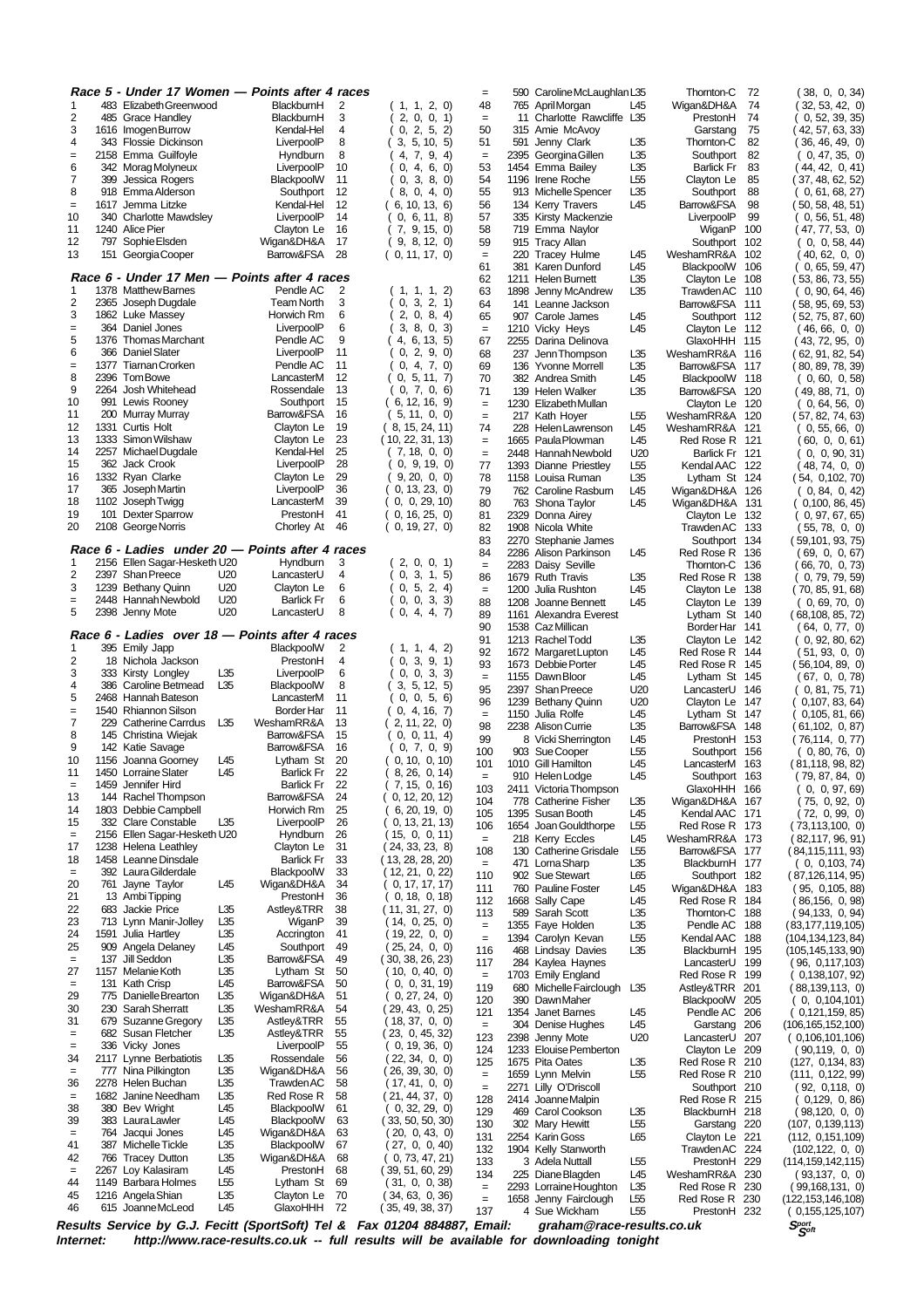|                              |      |                                               |                        | Race 5 - Under 17 Women — Points after 4 races                                          |                                     | $=$                  | 590  | Caroline McLaughlan L35                      |                        | Thornton-C                       | 72       | (38, 0, 0, 34)                             |
|------------------------------|------|-----------------------------------------------|------------------------|-----------------------------------------------------------------------------------------|-------------------------------------|----------------------|------|----------------------------------------------|------------------------|----------------------------------|----------|--------------------------------------------|
| 1                            |      | 483 Elizabeth Greenwood                       |                        | BlackburnH<br>2                                                                         | (1, 1, 2, 0)                        | 48                   |      | 765 April Morgan                             | L45                    | Wigan&DH&A                       | 74       | (32, 53, 42, 0)                            |
| 2<br>3                       |      | 485 Grace Handley<br>1616 Imogen Burrow       |                        | BlackburnH<br>3<br>Kendal-Hel<br>4                                                      | 0, 0, 1<br>2,<br>0, 2, 5, 2)        | $\equiv$<br>50       | 315  | 11 Charlotte Rawcliffe L35<br>Amie McAvoy    |                        | PrestonH<br>Garstang             | 74<br>75 | 0, 52, 39, 35<br>(42, 57, 63, 33)          |
| 4                            |      | 343 Flossie Dickinson                         |                        | 8<br>LiverpoolP                                                                         | 3, 5, 10, 5                         | 51                   | 591  | Jenny Clark                                  | L35                    | Thornton-C                       | 82       | (36, 46, 49, 0)                            |
| $=$                          |      | 2158 Emma Guilfoyle                           |                        | 8<br>Hyndburn                                                                           | 4, 7, 9, 4)                         | $\quad \  \  =$      | 2395 | Georgina Gillen                              | L35                    | Southport                        | 82       | (0, 47, 35, 0)                             |
| 6<br>$\overline{7}$          |      | 342 Morag Molyneux                            |                        | 10<br>LiverpoolP                                                                        | 0,<br>4, 6, 0                       | 53                   |      | 1454 Emma Bailey                             | L35                    | <b>Barlick Fr</b>                | 83       | (44, 42, 0, 41)                            |
| 8                            | 399  | Jessica Rogers<br>918 Emma Alderson           |                        | 11<br>BlackpoolW<br>12<br>Southport                                                     | 0,<br>3, 8, 0)<br>8,<br>0, 4, 0)    | 54<br>55             |      | 1196 Irene Roche<br>913 Michelle Spencer     | L55<br>L35             | Clayton Le<br>Southport          | 85<br>88 | (37, 48, 62, 52)<br>0, 61, 68, 27          |
| $=$                          |      | 1617 Jemma Litzke                             |                        | 12<br>Kendal-Hel                                                                        | 6, 10, 13, 6                        | 56                   | 134  | <b>Kerry Travers</b>                         | L45                    | Barrow&FSA                       | 98       | (50, 58, 48, 51)                           |
| 10                           |      | 340 Charlotte Mawdsley                        |                        | 14<br>LiverpoolP                                                                        | 0, 6, 11, 8                         | 57                   |      | 335 Kirsty Mackenzie                         |                        | LiverpoolP                       | 99       | 0, 56, 51, 48                              |
| 11                           |      | 1240 Alice Pier                               |                        | 16<br>Clayton Le                                                                        | (7, 9, 15, 0)                       | 58                   |      | 719 Emma Naylor                              |                        | WiganP                           | 100      | (47, 77, 53, 0)                            |
| 12<br>13                     |      | 797 Sophie Elsden<br>151 Georgia Cooper       |                        | Wigan&DH&A<br>17<br>28<br>Barrow&FSA                                                    | (9, 8, 12, 0)<br>(0, 11, 17, 0)     | 59<br>$=$            | 220  | 915 Tracy Allan<br><b>Tracey Hulme</b>       | L45                    | Southport 102<br>WeshamRR&A 102  |          | 0, 0, 58, 44<br>(40,62,0,0)                |
|                              |      |                                               |                        |                                                                                         |                                     | 61                   | 381  | Karen Dunford                                | L45                    | BlackpoolW 106                   |          | (0, 65, 59, 47)                            |
|                              |      |                                               |                        | Race 6 - Under 17 Men — Points after 4 races                                            |                                     | 62                   | 1211 | <b>Helen Burnett</b>                         | L35                    | Clayton Le 108                   |          | (53, 86, 73, 55)                           |
| 1<br>$\overline{\mathbf{c}}$ |      | 1378 Matthew Barnes<br>2365 Joseph Dugdale    |                        | Pendle AC<br>2<br>3<br><b>Team North</b>                                                | 1, 1, 2)<br>1,<br>3, 2, 1)<br>0.    | 63                   |      | 1898 Jenny McAndrew                          | L35                    | <b>Trawden AC</b>                | 110      | (0, 90, 64, 46)                            |
| 3                            |      | 1862 Luke Massey                              |                        | Horwich Rm<br>6                                                                         | 2, 0, 8, 4                          | 64<br>65             |      | 141 Leanne Jackson<br>907 Carole James       | L45                    | Barrow&FSA 111<br>Southport 112  |          | (58, 95, 69, 53)<br>(52, 75, 87, 60)       |
| $=$                          |      | 364 Daniel Jones                              |                        | 6<br>LiverpoolP                                                                         | 3.<br>8, 0, 3                       | $=$                  |      | 1210 Vicky Heys                              | L45                    | Clayton Le 112                   |          | (46,66,0,0)                                |
| 5                            |      | 1376 Thomas Marchant                          |                        | 9<br>Pendle AC                                                                          | 4, 6, 13, 5                         | 67                   |      | 2255 Darina Delinova                         |                        | GlaxoHHH 115                     |          | (43, 72, 95, 0)                            |
| 6                            |      | 366 Daniel Slater                             |                        | 11<br>LiverpoolP                                                                        | 2, 9, 0<br>0,                       | 68                   | 237  | Jenn Thompson                                | L35                    | WeshamRR&A 116                   |          | 62, 91, 82, 54)                            |
| $=$<br>8                     |      | 1377 Tiarnan Crorken<br>2396 Tom Bowe         |                        | 11<br>Pendle AC<br>12<br>LancasterM                                                     | 0, 4, 7, 0)<br>0, 5, 11, 7          | 69<br>70             |      | 136 Yvonne Morrell<br>382 Andrea Smith       | L35<br>L45             | Barrow&FSA 117<br>BlackpoolW 118 |          | (80, 89, 78, 39)<br>(0, 60, 0, 58)         |
| 9                            |      | 2264 Josh Whitehead                           |                        | Rossendale<br>13                                                                        | 0, 7, 0, 6                          | 71                   | 139  | Helen Walker                                 | L35                    | Barrow&FSA 120                   |          | (49, 88, 71, 0)                            |
| 10                           |      | 991 Lewis Rooney                              |                        | 15<br>Southport                                                                         | (6, 12, 16, 9)                      | $=$                  |      | 1230 Elizabeth Mullan                        |                        | Clayton Le 120                   |          | (0, 64, 56, 0)                             |
| 11                           |      | 200 Murray Murray                             |                        | Barrow&FSA<br>16                                                                        | (5, 11, 0, 0)                       | $=$                  |      | 217 Kath Hoyer                               | L55                    | WeshamRR&A                       | 120      | (57, 82, 74, 63)                           |
| 12<br>13                     |      | 1331 Curtis Holt<br>1333 Simon Wilshaw        |                        | Clayton Le<br>19<br>23<br>Clayton Le                                                    | (8, 15, 24, 11)<br>(10, 22, 31, 13) | 74<br>$=$            | 228  | <b>Helen Lawrenson</b><br>1665 Paula Plowman | L45<br>L45             | WeshamRR&A<br>Red Rose R 121     | 121      | (0, 55, 66, 0)<br>60, 0, 0, 61             |
| 14                           |      | 2257 Michael Dugdale                          |                        | 25<br>Kendal-Hel                                                                        | (7, 18, 0, 0)                       | $\equiv$             |      | 2448 Hannah Newbold                          | U20                    | Barlick Fr 121                   |          | 0, 0, 90, 31                               |
| 15                           |      | 362 Jack Crook                                |                        | 28<br>LiverpoolP                                                                        | 0, 9, 19, 0                         | 77                   |      | 1393 Dianne Priestley                        | L <sub>55</sub>        | Kendal AAC 122                   |          | 48, 74, 0, 0                               |
| 16                           |      | 1332 Ryan Clarke                              |                        | 29<br>Clayton Le                                                                        | 9, 20, 0, 0)                        | 78                   |      | 1158 Louisa Ruman                            | L35                    | Lytham St 124                    |          | (54, 0,102, 70)                            |
| 17<br>18                     |      | 365 Joseph Martin<br>1102 Joseph Twigg        |                        | 36<br>LiverpoolP<br>39<br>LancasterM                                                    | 0, 13, 23, 0<br>0, 0, 29, 10        | 79<br>80             |      | 762 Caroline Rasburn<br>763 Shona Taylor     | L45<br>L45             | Wigan&DH&A 126<br>Wigan&DH&A     | 131      | (0, 84, 0, 42)                             |
| 19                           |      | 101 Dexter Sparrow                            |                        | PrestonH<br>41                                                                          | 0, 16, 25, 0)                       | 81                   |      | 2329 Donna Airey                             |                        | Clayton Le 132                   |          | ( 0,100, 86, 45)<br>(0, 97, 67, 65)        |
| 20                           |      | 2108 George Norris                            |                        | Chorley At<br>46                                                                        | 0, 19, 27, 0)                       | 82                   |      | 1908 Nicola White                            |                        | Trawden AC 133                   |          | 55, 78, 0, 0                               |
|                              |      |                                               |                        | Race 6 - Ladies under 20 - Points after 4 races                                         |                                     | 83                   | 2270 | Stephanie James                              |                        | Southport 134                    |          | ( 59,101, 93, 75)                          |
| 1                            |      | 2156 Ellen Sagar-Hesketh U20                  |                        | Hyndburn<br>3                                                                           | 2, 0, 0, 1                          | 84<br>$=$            |      | 2286 Alison Parkinson<br>2283 Daisy Seville  | L45                    | Red Rose R 136<br>Thornton-C 136 |          | (69, 0, 0, 67)<br>66, 70, 0, 73)           |
| 2                            |      | 2397 Shan Preece                              | U20                    | LancasterU<br>4                                                                         | 0, 3, 1, 5)                         | 86                   | 1679 | <b>Ruth Travis</b>                           | L35                    | Red Rose R 138                   |          | 0, 79, 79, 59                              |
| 3                            |      | 1239 Bethany Quinn                            | U20                    | Clayton Le<br>6                                                                         | 0, 5, 2, 4)                         | $\equiv$             | 1200 | Julia Rushton                                | L45                    | Clayton Le 138                   |          | (70, 85, 91, 68)                           |
| $=$<br>5                     | 2398 | 2448 Hannah Newbold<br>Jenny Mote             | U20<br>U20             | <b>Barlick Fr</b><br>6<br>LancasterU<br>8                                               | 0, 0, 3, 3<br>0, 4, 4, 7            | 88                   |      | 1208 Joanne Bennett                          | L45                    | Clayton Le 139                   |          | (0, 69, 70, 0)                             |
|                              |      |                                               |                        |                                                                                         |                                     | 89<br>90             |      | 1161 Alexandra Everest<br>1538 Caz Millican  |                        | Lytham St 140<br>Border Har 141  |          | (68, 108, 85, 72)<br>(64, 0, 77, 0)        |
|                              |      |                                               |                        | Race 6 - Ladies over 18 - Points after 4 races                                          |                                     | 91                   |      | 1213 Rachel Todd                             | L35                    | Clayton Le 142                   |          | (0, 92, 80, 62)                            |
| 1                            |      | 395 Emily Japp                                |                        | BlackpoolW<br>2                                                                         | (1, 1, 4, 2)                        | 92                   |      | 1672 Margaret Lupton                         | L45                    | Red Rose R 144                   |          | (51,93,0,0)                                |
| 2<br>3                       |      | 18 Nichola Jackson<br>333 Kirsty Longley      | L35                    | PrestonH<br>4<br>6<br>LiverpoolP                                                        | 0,<br>3, 9, 1<br>0, 0, 3, 3         | 93                   |      | 1673 Debbie Porter                           | L45                    | Red Rose R 145                   |          | (56, 104, 89, 0)                           |
| 4                            |      | 386 Caroline Betmead                          | L35                    | BlackpoolW<br>8                                                                         | 3, 5, 12, 5                         | $\equiv$<br>95       | 2397 | 1155 Dawn Bloor<br><b>Shan Preece</b>        | L45<br>U20             | Lytham St 145<br>LancasterU 146  |          | (67, 0, 0, 78)<br>0, 81, 75, 71)           |
| 5                            |      | 2468 Hannah Bateson                           |                        | LancasterM<br>11                                                                        | 0, 0, 5, 6                          | 96                   | 1239 | <b>Bethany Quinn</b>                         | U20                    | Clayton Le 147                   |          | 0,107, 83, 64                              |
| $=$                          |      | 1540 Rhiannon Silson                          |                        | Border Har<br>11                                                                        | (0, 4, 16, 7)                       | $\equiv$             | 1150 | Julia Rolfe                                  | L45                    | Lytham St 147                    |          | 0,105, 81, 66                              |
| 7<br>8                       |      | 229 Catherine Carrdus<br>145 Christina Wiejak | L35                    | WeshamRR&A<br>13<br>Barrow&FSA<br>15                                                    | (2, 11, 22, 0)<br>(0, 0, 11, 4)     | 98                   |      | 2238 Alison Currie                           | L <sub>35</sub>        | Barrow&FSA 148                   |          | 61,102, 0,87                               |
| 9                            |      | 142 Katie Savage                              |                        | 16<br>Barrow&FSA                                                                        | 0, 7, 0, 9                          | 99<br>100            |      | 8 Vicki Sherrington<br>903 Sue Cooper        | L45<br>L55             | PrestonH 153<br>Southport 156    |          | (76, 114, 0, 77)<br>(0, 80, 76, 0)         |
| 10                           | 1156 | Joanna Goorney                                | L45                    | 20<br>Lytham St                                                                         | 0, 10, 0, 10                        | 101                  |      | 1010 Gill Hamilton                           | L45                    | LancasterM 163                   |          | (81,118, 98, 82)                           |
| 11                           |      | 1450 Lorraine Slater                          | L45                    | 22<br>Barlick Fr                                                                        | 8, 26, 0, 14                        | $=$                  |      | 910 Helen Lodge                              | L45                    | Southport 163                    |          | (79, 87, 84, 0)                            |
| $=$<br>13                    | 1459 | Jennifer Hird<br>144 Rachel Thompson          |                        | <b>Barlick Fr</b><br>22<br>Barrow&FSA<br>24                                             | 7, 15, 0, 16)<br>0, 12, 20, 12      | 103                  |      | 2411 Victoria Thompson                       |                        | GlaxoHHH 166                     |          | (0, 0, 97, 69)                             |
| 14                           |      | 1803 Debbie Campbell                          |                        | Horwich Rm<br>25                                                                        | 6, 20, 19, 0                        | 104<br>105           |      | 778 Catherine Fisher<br>1395 Susan Booth     | L35<br>L45             | Wigan&DH&A 167<br>Kendal AAC 171 |          | (75, 0,92, 0)<br>(72, 0, 99, 0)            |
| 15                           |      | 332 Clare Constable                           | L35                    | 26<br>LiverpoolP                                                                        | 0, 13, 21, 13                       | 106                  |      | 1654 Joan Gouldthorpe                        | L55                    | Red Rose R 173                   |          | (73,113,100, 0)                            |
| $=$                          |      | 2156 Ellen Sagar-Hesketh U20                  |                        | Hyndburn<br>26                                                                          | (15, 0, 0, 11)                      | $\equiv$             |      | 218 Kerry Eccles                             | L45                    | WeshamRR&A 173                   |          | (82,117, 96, 91)                           |
| 17<br>18                     |      | 1238 Helena Leathley<br>1458 Leanne Dinsdale  |                        | Clayton Le<br>31<br><b>Barlick Fr</b><br>33                                             | (24, 33, 23, 8)<br>(13, 28, 28, 20) | 108                  |      | 130 Catherine Grisdale                       | L55                    | Barrow&FSA 177                   |          | (84, 115, 111, 93)                         |
| $=$                          |      | 392 Laura Gilderdale                          |                        | BlackpoolW<br>33                                                                        | (12, 21, 0, 22)                     | $=$<br>110           |      | 471 Lorna Sharp<br>902 Sue Stewart           | L35<br>L65             | BlackburnH 177<br>Southport 182  |          | (0, 0, 103, 74)<br>(87, 126, 114, 95)      |
| 20                           |      | 761 Jayne Taylor                              | L45                    | Wigan&DH&A<br>34                                                                        | 0, 17, 17, 17)                      | 111                  |      | 760 Pauline Foster                           | L45                    | Wigan&DH&A 183                   |          | (95, 0, 105, 88)                           |
| 21<br>22                     |      | 13 Ambi Tipping<br>683 Jackie Price           | L35                    | PrestonH<br>36<br>Astley&TRR<br>38                                                      | 0, 18, 0, 18<br>(11, 31, 27, 0)     | 112                  |      | 1668 Sally Cape                              | L45                    | Red Rose R 184                   |          | 86,156, 0, 98)                             |
| 23                           |      | 713 Lynn Manir-Jolley                         | L35                    | WiganP<br>39                                                                            | (14, 0, 25, 0)                      | 113                  | 589  | Sarah Scott                                  | L35                    | Thornton-C 188                   |          | ( 94,133, 0, 94)                           |
| 24                           |      | 1591 Julia Hartley                            | L35                    | Accrington<br>41                                                                        | (19, 22, 0, 0)                      | $\equiv$<br>$\equiv$ |      | 1355 Faye Holden<br>1394 Carolyn Kevan       | L35<br>L <sub>55</sub> | Pendle AC 188<br>Kendal AAC 188  |          | (83, 177, 119, 105)<br>(104, 134, 123, 84) |
| 25                           |      | 909 Angela Delaney                            | L45                    | Southport<br>49                                                                         | 25, 24, 0, 0                        | 116                  |      | 468 Lindsay Davies                           | L35                    | BlackburnH 195                   |          | (105,145,133,90)                           |
| $=$<br>27                    |      | 137 Jill Seddon<br>1157 Melanie Koth          | L35<br>L35             | Barrow&FSA<br>49<br>Lytham St<br>50                                                     | (30, 38, 26, 23)<br>(10, 0, 40, 0)  | 117                  |      | 284 Kaylea Haynes                            |                        | LancasterU 199                   |          | (96, 0, 117, 103)                          |
| $\,=\,$                      |      | 131 Kath Crisp                                | L45                    | Barrow&FSA<br>50                                                                        | 0, 0, 31, 19                        | $\,=\,$              |      | 1703 Emily England                           |                        | Red Rose R 199                   |          | 0,138,107,92                               |
| 29                           |      | 775 Danielle Brearton                         | L35                    | Wigan&DH&A<br>51                                                                        | 0, 27, 24, 0)                       | 119<br>120           |      | 680 Michelle Fairclough<br>390 DawnMaher     | L35                    | Astley&TRR 201<br>BlackpoolW 205 |          | (88,139,113, 0)<br>(0, 0, 104, 101)        |
| 30                           |      | 230 Sarah Sherratt                            | L35                    | WeshamRR&A<br>54                                                                        | (29, 43, 0, 25)                     | 121                  |      | 1354 Janet Barnes                            | L45                    | Pendle AC 206                    |          | (0,121,159,85)                             |
| 31<br>$=$                    |      | 679 Suzanne Gregory<br>682 Susan Fletcher     | L <sub>35</sub><br>L35 | 55<br>Astley&TRR<br>Astley&TRR<br>55                                                    | (18, 37, 0, 0)                      | $\equiv$             |      | 304 Denise Hughes                            | L45                    | Garstang 206                     |          | (106, 165, 152, 100)                       |
| $=$                          |      | 336 Vicky Jones                               |                        | LiverpoolP<br>55                                                                        | (23, 0, 45, 32)<br>0, 19, 36, 0)    | 123                  |      | 2398 Jenny Mote                              | U20                    | LancasterU 207                   |          | (0,106,101,106)                            |
| 34                           |      | 2117 Lynne Berbatiotis                        | L35                    | Rossendale<br>56                                                                        | (22, 34, 0, 0)                      | 124<br>125           |      | 1233 Elouise Pemberton<br>1675 Pita Oates    | L35                    | Clayton Le 209<br>Red Rose R 210 |          | (90, 119, 0, 0)<br>(127, 0, 134, 83)       |
| $=$                          |      | 777 Nina Pilkington                           | L <sub>35</sub>        | Wigan&DH&A<br>56                                                                        | (26, 39, 30, 0)                     | $\equiv$             |      | 1659 Lynn Melvin                             | L55                    | Red Rose R 210                   |          | (111, 0, 122, 99)                          |
| 36                           |      | 2278 Helen Buchan<br>1682 Janine Needham      | L35<br>L <sub>35</sub> | Trawden AC<br>58<br>Red Rose R<br>58                                                    | (17, 41, 0, 0)                      | $\equiv$             |      | 2271 Lilly O'Driscoll                        |                        | Southport 210                    |          | (92, 0,118, 0)                             |
| $=$<br>38                    |      | 380 Bev Wright                                | L45                    | BlackpoolW<br>61                                                                        | (21, 44, 37, 0)<br>(0, 32, 29, 0)   | 128<br>129           |      | 2414 Joanne Malpin                           |                        | Red Rose R 215                   |          | 0,129, 0,86                                |
| 39                           |      | 383 Laura Lawler                              | L45                    | BlackpoolW<br>63                                                                        | (33, 50, 50, 30)                    | 130                  |      | 469 Carol Cookson<br>302 Mary Hewitt         | L35<br>L55             | BlackburnH 218<br>Garstang 220   |          | 98,120, 0, 0)<br>(107, 0, 139, 113)        |
| $=$                          |      | 764 Jacqui Jones                              | L45                    | Wigan&DH&A<br>63                                                                        | (20, 0, 43, 0)                      | 131                  |      | 2254 Karin Goss                              | L65                    | Clayton Le 221                   |          | (112, 0, 151, 109)                         |
| 41<br>42                     |      | 387 Michelle Tickle<br>766 Tracey Dutton      | L35<br>L35             | BlackpoolW<br>67<br>Wigan&DH&A<br>68                                                    | (27, 0, 0, 40)<br>0, 73, 47, 21)    | 132                  |      | 1904 Kelly Stanworth                         |                        | Trawden AC 224                   |          | (102, 122, 0, 0)                           |
| $=$                          |      | 2267 Loy Kalasiram                            | L45                    | PrestonH<br>68                                                                          | (39, 51, 60, 29)                    | 133<br>134           |      | 3 Adela Nuttall<br>225 Diane Blagden         | L <sub>55</sub><br>L45 | PrestonH 229<br>WeshamRR&A 230   |          | (114, 159, 142, 115)                       |
| 44                           |      | 1149 Barbara Holmes                           | L55                    | Lytham St<br>69                                                                         | (31, 0, 0, 38)                      | $\equiv$             |      | 2293 Lorraine Houghton                       | L35                    | Red Rose R 230                   |          | (93, 137, 0, 0)<br>(99, 168, 131, 0)       |
| 45                           |      | 1216 Angela Shian                             | L35                    | Clayton Le<br>70                                                                        | (34, 63, 0, 36)                     | $=$                  |      | 1658 Jenny Fairclough                        | L <sub>55</sub>        | Red Rose R 230                   |          | (122, 153, 146, 108)                       |
| 46                           |      | 615 Joanne McLeod                             | L45                    | GlaxoHHH<br>-72                                                                         | (35, 49, 38, 37)                    | 137                  |      | 4 Sue Wickham                                | L <sub>55</sub>        | PrestonH 232                     |          | (0, 155, 125, 107)                         |
|                              |      |                                               |                        | Results Service by G.J. Fecitt (SportSoft) Tel & Fax 01204 884887, Email:               |                                     |                      |      | graham@race-results.co.uk                    |                        |                                  |          | $S_{\mathcal{S}^{opt}}^{port}$             |
| Internet:                    |      |                                               |                        | http://www.race-results.co.uk -- full results will be available for downloading tonight |                                     |                      |      |                                              |                        |                                  |          |                                            |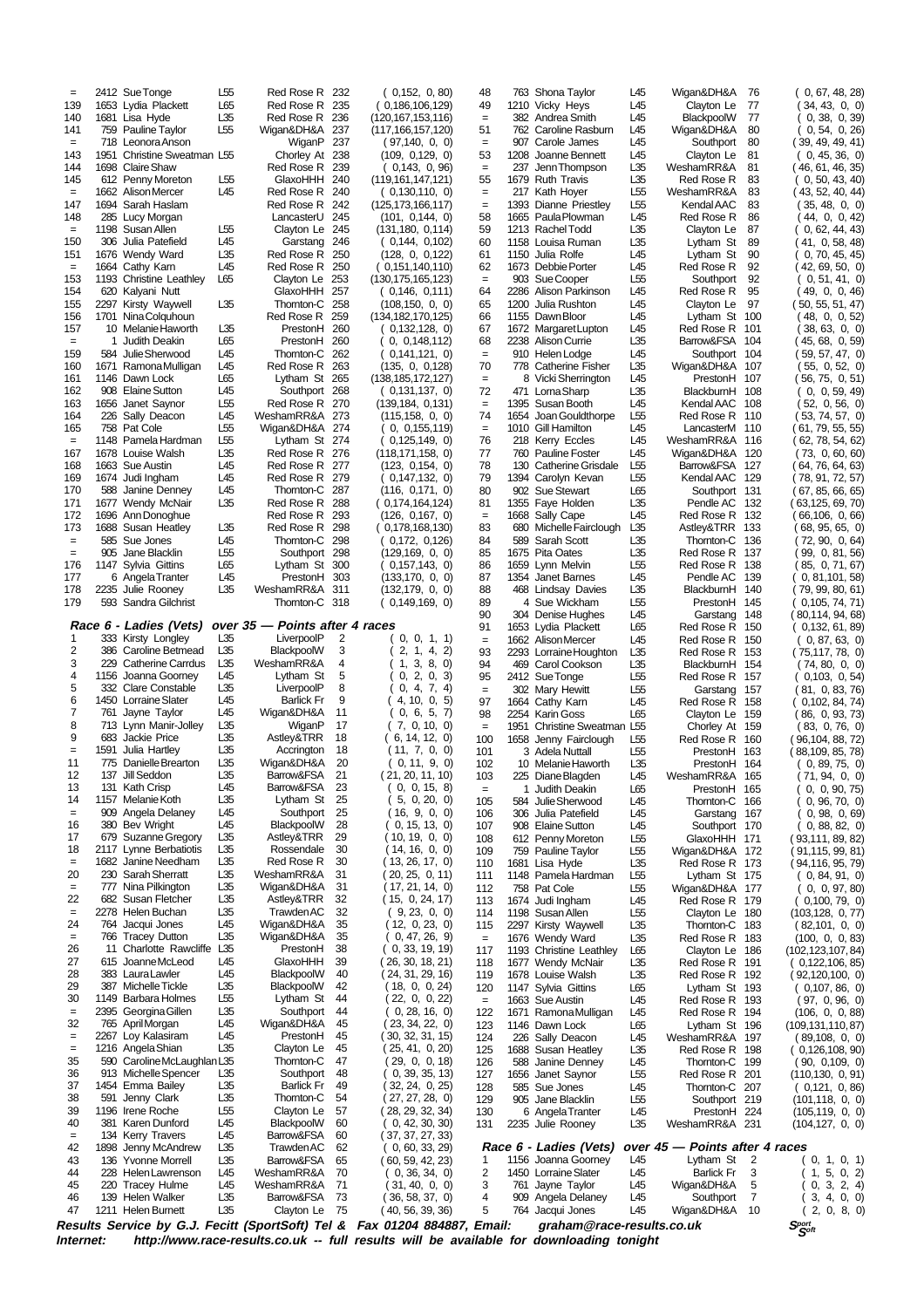| Internet:       |      |                                                  |                        |                                  |            | Results Service by G.J. Fecitt (SportSoft) Tel & Fax 01204 884887, Email:<br>http://www.race-results.co.uk -- full results will be available for downloading tonight |                        |      | graham@race-results.co.uk                    |                                    |                                  |                | $S_{\mathcal{S}^{opt}}^{port}$        |
|-----------------|------|--------------------------------------------------|------------------------|----------------------------------|------------|----------------------------------------------------------------------------------------------------------------------------------------------------------------------|------------------------|------|----------------------------------------------|------------------------------------|----------------------------------|----------------|---------------------------------------|
| 47              |      | 1211 Helen Burnett                               | L <sub>35</sub>        | Clayton Le                       | - 75       | (40, 56, 39, 36)                                                                                                                                                     | 5                      |      | 764 Jacqui Jones                             | L45                                | Wigan&DH&A 10                    |                | 2, 0, 8, 0<br>(                       |
| 46              |      | 139 Helen Walker                                 | L35                    | Barrow&FSA                       | 73         | (36, 58, 37, 0)                                                                                                                                                      | 4                      |      | 909 Angela Delaney                           | L45                                | Southport                        | 7              | 3, 4, 0, 0                            |
| 44<br>45        |      | 228 Helen Lawrenson<br>220 Tracey Hulme          | L45<br>L45             | WeshamRR&A<br>WeshamRR&A         | 70<br>71   | (0, 36, 34, 0)<br>31, 40, 0, 0                                                                                                                                       | 2<br>3                 |      | 1450 Lorraine Slater<br>761 Jayne Taylor     | L45<br>L45                         | Barlick Fr<br>Wigan&DH&A         | 3<br>5         | (1, 5, 0, 2)<br>0, 3, 2, 4            |
| 43              |      | 136 Yvonne Morrell                               | L35                    | Barrow&FSA                       | 65         | (60, 59, 42, 23)                                                                                                                                                     | 1                      |      | 1156 Joanna Goorney                          | L45                                | Lytham St                        | $\overline{2}$ | 0, 1, 0, 1)                           |
| 42              |      | 1898 Jenny McAndrew                              | L <sub>35</sub>        | <b>Trawden AC</b>                | 62         | (0, 60, 33, 29)                                                                                                                                                      |                        |      | Race 6 - Ladies (Vets)                       |                                    | over 45 - Points after 4 races   |                |                                       |
| 40<br>$=$       |      | 381 Karen Dunford<br>134 Kerry Travers           | L45<br>L45             | BlackpoolW<br>Barrow&FSA         | 60<br>60   | 0, 42, 30, 30)<br>(37, 37, 27, 33)                                                                                                                                   | 131                    |      | 2235 Julie Rooney                            | L35                                | WeshamRR&A 231                   |                | (104, 127, 0, 0)                      |
| 39              |      | 1196 Irene Roche                                 | L <sub>55</sub>        | Clayton Le                       | 57         | (28, 29, 32, 34)                                                                                                                                                     | 130                    |      | 6 Angela Tranter                             | L45                                | PrestonH 224                     |                | (105, 119, 0, 0)                      |
| 37<br>38        |      | 1454 Emma Bailey<br>591 Jenny Clark              | L35<br>L35             | <b>Barlick Fr</b><br>Thomton-C   | 49<br>54   | 32, 24, 0, 25<br>(27, 27, 28, 0)                                                                                                                                     | 128<br>129             |      | 585 Sue Jones<br>905 Jane Blacklin           | L45<br>L55                         | Thomton-C 207<br>Southport 219   |                | (0,121, 0,86)<br>(101, 118, 0, 0)     |
| 36              |      | 913 Michelle Spencer                             | L35                    | Southport                        | 48         | 0, 39, 35, 13                                                                                                                                                        | 127                    |      | 1656 Janet Saynor                            | L <sub>55</sub>                    | Red Rose R 201                   |                | (110, 130, 0, 91)                     |
| 35              |      | 590 Caroline McLaughlan L35                      |                        | Thomton-C                        | 47         | (29, 0, 0, 18)                                                                                                                                                       | 126                    |      | 588 Janine Denney                            | L45                                | Thomton-C 199                    |                | (90, 0,109, 0)                        |
| $=$<br>$=$      |      | 2267 Loy Kalasiram<br>1216 Angela Shian          | L45<br>L35             | PrestonH<br>Clayton Le           | 45<br>45   | (30, 32, 31, 15)<br>(25, 41, 0, 20)                                                                                                                                  | 124<br>125             |      | 226 Sally Deacon<br>1688 Susan Heatley       | L45<br>L35                         | WeshamRR&A 197<br>Red Rose R 198 |                | (89, 108, 0, 0)<br>(0, 126, 108, 90)  |
| 32              |      | 765 April Morgan                                 | L45                    | Wigan&DH&A                       | 45         | (23, 34, 22, 0)                                                                                                                                                      | 123                    |      | 1146 Dawn Lock                               | L65                                | Lytham St 196                    |                | (109, 131, 110, 87)                   |
| $=$             |      | 2395 Georgina Gillen                             | L35                    | Southport                        | 44         | 0, 28, 16, 0                                                                                                                                                         | 122                    |      | 1671 Ramona Mulligan                         | L45                                | Red Rose R 194                   |                | (106, 0, 0, 88)                       |
| 29<br>30        |      | 387 Michelle Tickle<br>1149 Barbara Holmes       | L35<br>L55             | BlackpoolW<br>Lytham St          | 42<br>44   | (18, 0, 0, 24)<br>22, 0, 0, 22                                                                                                                                       | 120<br>$\quad \  \  =$ |      | 1147 Sylvia Gittins<br>1663 Sue Austin       | L65<br>L45                         | Lytham St 193<br>Red Rose R 193  |                | (0,107, 86, 0)<br>(97, 0,96, 0)       |
| 28              |      | 383 Laura Lawler                                 | L45                    | BlackpoolW                       | 40         | ( 24, 31, 29, 16)                                                                                                                                                    | 119                    |      | 1678 Louise Walsh                            | L35                                | Red Rose R 192                   |                | (92, 120, 100, 0)                     |
| 27              |      | 615 Joanne McLeod                                | L45                    | GlaxoHHH                         | 39         | (26, 30, 18, 21)                                                                                                                                                     | 118                    |      | 1677 Wendy McNair                            | L35                                | Red Rose R 191                   |                | (0, 122, 106, 85)                     |
| $=$<br>26       |      | 766 Tracey Dutton<br>11 Charlotte Rawcliffe L35  | L35                    | Wigan&DH&A<br>PrestonH           | 35<br>38   | 0, 47, 26, 9<br>(0, 33, 19, 19)                                                                                                                                      | $\equiv$<br>117        |      | 1676 Wendy Ward<br>1193 Christine Leathley   | L35<br>L65                         | Red Rose R 183<br>Clayton Le 186 |                | (100, 0, 0, 83)<br>(102,123,107,84)   |
| 24              |      | 764 Jacqui Jones                                 | L45                    | Wigan&DH&A                       | 35         | (12, 0, 23, 0)                                                                                                                                                       | 115                    |      | 2297 Kirsty Waywell                          | L35                                | Thomton-C 183                    |                | (82, 101, 0, 0)                       |
| $=$             |      | 2278 Helen Buchan                                | L35                    | Trawden AC                       | 32         | (9, 23, 0, 0)                                                                                                                                                        | 114                    |      | 1198 Susan Allen                             | L55                                | Clayton Le 180                   |                | (0,100, 79, 0)<br>(103, 128, 0, 77)   |
| $=$<br>22       |      | 777 Nina Pilkington<br>682 Susan Fletcher        | L35<br>L35             | Wigan&DH&A<br>Astley&TRR         | 31<br>32   | (17, 21, 14, 0)<br>(15, 0, 24, 17)                                                                                                                                   | 112<br>113             |      | 758 Pat Cole<br>1674 Judi Ingham             | L55<br>L45                         | Wigan&DH&A 177<br>Red Rose R 179 |                | (0, 0, 97, 80)                        |
| 20              |      | 230 Sarah Sherratt                               | L35                    | WeshamRR&A                       | 31         | (20, 25, 0, 11)                                                                                                                                                      | 111                    |      | 1148 Pamela Hardman                          | L55                                | Lytham St 175                    |                | (0, 84, 91, 0)                        |
| $=$             |      | 1682 Janine Needham                              | L35                    | Red Rose R                       | 30         | (13, 26, 17, 0)                                                                                                                                                      | 109<br>110             |      | 759 Pauline Taylor<br>1681 Lisa Hyde         | L55<br>L35                         | Wigan&DH&A 172<br>Red Rose R 173 |                | ( 91,115, 99, 81)<br>(94,116, 95, 79) |
| 17<br>18        |      | 679 Suzanne Gregory<br>2117 Lynne Berbatiotis    | L35<br>L35             | Astley&TRR<br>Rossendale         | 29<br>30   | (10, 19, 0, 0)<br>(14, 16, 0, 0)                                                                                                                                     | 108                    |      | 612 Penny Moreton                            | L <sub>55</sub>                    | GlaxoHHH 171                     |                | (93, 111, 89, 82)                     |
| 16              |      | 380 Bev Wright                                   | L45                    | BlackpoolW                       | 28         | 0, 15, 13, 0                                                                                                                                                         | 107                    |      | 908 Elaine Sutton                            | L45                                | Southport 170                    |                | 0, 88, 82, 0                          |
| 14<br>$=$       |      | 909 Angela Delaney                               | L35<br>L45             | Lytham St<br>Southport           | 25<br>25   | 5, 0, 20, 0<br>(16, 9, 0, 0)                                                                                                                                         | 105<br>106             |      | 584 Julie Sherwood<br>306 Julia Patefield    | L45<br>L45                         | Thomton-C 166<br>Garstang 167    |                | 0, 96, 70, 0<br>0, 98, 0, 69          |
| 13              |      | 131 Kath Crisp<br>1157 Melanie Koth              | L45                    | Barrow&FSA                       | 23         | 0, 0, 15, 8                                                                                                                                                          | $\quad =$              |      | 1 Judith Deakin                              | L65                                | PrestonH 165                     |                | 0, 0, 90, 75                          |
| 12              |      | 137 Jill Seddon                                  | L35                    | Barrow&FSA                       | 21         | (21, 20, 11, 10)                                                                                                                                                     | 103                    |      | 225 Diane Blagden                            | L45                                | WeshamRR&A 165                   |                | (71, 94, 0, 0)                        |
| $=$<br>11       | 1591 | Julia Hartley<br>775 Danielle Brearton           | L35<br>L35             | Accrington<br>Wigan&DH&A         | 18<br>20   | (11, 7, 0, 0)<br>(0, 11, 9, 0)                                                                                                                                       | 101<br>102             |      | 3 Adela Nuttall<br>10 Melanie Haworth        | L55<br>L35                         | PrestonH 163<br>PrestonH         | 164            | (88,109, 85, 78)<br>(0, 89, 75, 0)    |
| 9               |      | 683 Jackie Price                                 | L35                    | Astley&TRR                       | 18         | (6, 14, 12, 0)                                                                                                                                                       | 100                    |      | 1658 Jenny Fairclough                        | L55                                | Red Rose R 160                   |                | ( 96,104, 88, 72)                     |
| 8               |      | 713 Lynn Manir-Jolley                            | L35                    | WiganP                           | 17         | (7, 0, 10, 0)                                                                                                                                                        | $\quad \  \  =$        | 1951 | Christine Sweatman L55                       |                                    | Chorley At 159                   |                | (83, 0, 76, 0)                        |
| 6<br>7          |      | 1450 Lorraine Slater<br>761 Jayne Taylor         | L45<br>L45             | <b>Barlick Fr</b><br>Wigan&DH&A  | 9<br>11    | 4, 10, 0, 5<br>0, 6, 5, 7                                                                                                                                            | 97<br>98               |      | 1664 Cathy Karn<br>2254 Karin Goss           | L45<br>L65                         | Red Rose R 158<br>Clayton Le 159 |                | 0,102, 84, 74)<br>(86, 0, 93, 73)     |
| 5               |      | 332 Clare Constable                              | L35                    | LiverpoolP                       | 8          | 0, 4, 7, 4)                                                                                                                                                          | $\quad \  \  =$        |      | 302 Mary Hewitt                              | L <sub>55</sub>                    | Garstang 157                     |                | (81, 0, 83, 76)                       |
| 4               |      | 1156 Joanna Goorney                              | L45                    | Lytham St                        | 5          | 3, 8, 0)<br>1.<br>0, 2, 0, 3                                                                                                                                         | 94<br>95               |      | 469 Carol Cookson<br>2412 Sue Tonge          | L35<br>L55                         | BlackburnH 154<br>Red Rose R 157 |                | (74, 80, 0, 0)<br>(0, 103, 0, 54)     |
| 2<br>3          |      | 386 Caroline Betmead<br>229 Catherine Carrdus    | L35<br>L35             | BlackpoolW<br>WeshamRR&A         | 3<br>4     | 2, 1, 4, 2)                                                                                                                                                          | 93                     |      | 2293 Lorraine Houghton                       | L35                                | Red Rose R 153                   |                | (75, 117, 78, 0)                      |
| 1               |      | 333 Kirsty Longley                               | L35                    | LiverpoolP                       | 2          | 0, 0, 1, 1)                                                                                                                                                          | $\quad =$              |      | 1662 Alison Mercer                           | L45                                | Red Rose R 150                   |                | (0, 87, 63, 0)                        |
|                 |      | Race 6 - Ladies (Vets)                           |                        | over 35 - Points after 4 races   |            |                                                                                                                                                                      | 90<br>91               |      | 304 Denise Hughes<br>1653 Lydia Plackett     | L45<br>L65                         | Garstang<br>Red Rose R           | 148<br>150     | ( 80,114, 94, 68)<br>(0, 132, 61, 89) |
| 179             |      | 593 Sandra Gilchrist                             |                        | Thornton-C 318                   |            | (0, 149, 169, 0)                                                                                                                                                     | 89                     |      | 4 Sue Wickham                                | L55                                | PrestonH 145                     |                | 0,105, 74, 71)                        |
| 178             |      | 2235 Julie Rooney                                | L35                    | WeshamRR&A                       | 311        | (132, 179, 0, 0)                                                                                                                                                     | 88                     |      | 468 Lindsay Davies                           | L35                                | BlackburnH 140                   |                | 0, 81, 101, 58<br>79, 99, 80, 61)     |
| 176<br>177      |      | 1147 Sylvia Gittins<br>6 Angela Tranter          | L65<br>L45             | Lytham St 300<br>PrestonH        | 303        | 0,157,143, 0)<br>(133,170, 0, 0)                                                                                                                                     | 86<br>87               |      | 1659 Lynn Melvin<br>1354 Janet Barnes        | L55<br>L45                         | Red Rose R 138<br>Pendle AC      | 139            | 85, 0, 71, 67)                        |
| $=$             |      | 905 Jane Blacklin                                | L55                    | Southport 298                    |            | (129, 169, 0, 0)                                                                                                                                                     | 85                     |      | 1675 Pita Oates                              | L35                                | Red Rose R 137                   |                | 99, 0, 81, 56)                        |
| $=$             |      | 585 Sue Jones                                    | L45                    | Thornton-C                       | 298        | 0,172, 0,126                                                                                                                                                         | 84                     | 589  | Sarah Scott                                  | L35                                | Thomton-C                        | 136            | (72, 90, 0, 64)                       |
| 172<br>173      |      | 1696 Ann Donoghue<br>1688 Susan Heatley          | L35                    | Red Rose R 293<br>Red Rose R     | 298        | (126, 0, 167, 0)<br>(0,178,168,130)                                                                                                                                  | $=$<br>83              |      | 1668 Sally Cape<br>680 Michelle Fairclough   | L45<br>L35                         | Red Rose R<br>Astley&TRR 133     | 132            | (66, 106, 0, 66)<br>(68, 95, 65, 0)   |
| 171             |      | 1677 Wendy McNair                                | L35                    | Red Rose R                       | 288        | (0,174,164,124)                                                                                                                                                      | 81                     |      | 1355 Faye Holden                             | L35                                | Pendle AC                        | 132            | (63, 125, 69, 70)                     |
| 170             |      | 588 Janine Denney                                | L45                    | Thornton-C                       | 287        | (116, 0.171, 0)                                                                                                                                                      | 80                     |      | 902 Sue Stewart                              | L65                                | Southport 131                    |                | (67, 85, 66, 65)                      |
| 168<br>169      |      | 1663 Sue Austin<br>1674 Judi Ingham              | L45<br>L45             | Red Rose R<br>Red Rose R 279     | 277        | (123, 0.154, 0)<br>(0,147,132,0)                                                                                                                                     | 78<br>79               |      | 130 Catherine Grisdale<br>1394 Carolyn Kevan | L <sub>55</sub><br>L <sub>55</sub> | Barrow&FSA<br>Kendal AAC         | 127<br>129     | (64, 76, 64, 63)<br>(78, 91, 72, 57)  |
| 167             |      | 1678 Louise Walsh                                | L35                    | Red Rose R 276                   |            | (118, 171, 158, 0)                                                                                                                                                   | 77                     |      | 760 Pauline Foster                           | L45                                | Wigan&DH&A                       | 120            | (73, 0, 60, 60)                       |
| $=$             |      | 1148 Pamela Hardman                              | L <sub>55</sub>        | Lytham St 274                    |            | 0,125,149, 0)                                                                                                                                                        | 76                     |      | 218 Kerry Eccles                             | L45                                | WeshamRR&A 116                   |                | ( 62, 78, 54, 62)                     |
| 164<br>165      |      | 226 Sally Deacon<br>758 Pat Cole                 | L45<br>L <sub>55</sub> | WeshamRR&A 273<br>Wigan&DH&A     | 274        | (115, 158, 0, 0)<br>0, 0,155,119                                                                                                                                     | 74<br>$=$              |      | 1654 Joan Gouldthorpe<br>1010 Gill Hamilton  | L <sub>55</sub><br>L45             | Red Rose R 110<br>LancasterM 110 |                | (53, 74, 57, 0)<br>(61, 79, 55, 55)   |
| 163             |      | 1656 Janet Saynor                                | L <sub>55</sub>        | Red Rose R                       | 270        | (139, 184, 0, 131)                                                                                                                                                   | $=$                    |      | 1395 Susan Booth                             | L45                                | Kendal AAC                       | 108            | (52, 0, 56, 0)                        |
| 162             |      | 908 Elaine Sutton                                | L45                    | Southport                        | 268        | 0,131,137, 0)                                                                                                                                                        | 72                     |      | 471 Lorna Sharp                              | L35                                | BlackburnH 108                   |                | 0, 59, 49<br>( O.                     |
| 160<br>161      |      | 1671 Ramona Mulligan<br>1146 Dawn Lock           | L45<br>L65             | Red Rose R<br>Lytham St 265      | 263        | (135, 0, 0, 128)<br>(138, 185, 172, 127)                                                                                                                             | 70<br>$=$              |      | 778 Catherine Fisher<br>8 Vicki Sherrington  | L35<br>L45                         | Wigan&DH&A<br>PrestonH 107       | 107            | (55, 0,52, 0)<br>(56, 75, 0, 51)      |
| 159             |      | 584 Julie Sherwood                               | L45                    | Thornton-C                       | 262        | 0,141,121, 0)                                                                                                                                                        | $=$                    |      | 910 Helen Lodge                              | L45                                | Southport                        | 104            | 59, 57, 47, 0                         |
| 157<br>$\equiv$ | 1    | 10 Melanie Haworth<br>Judith Deakin              | L65                    | PrestonH<br>PrestonH             | 260        | 0,132,128, 0)<br>0, 0,148,112                                                                                                                                        | 67<br>68               |      | 1672 Margaret Lupton<br>2238 Alison Currie   | L45<br>L35                         | Red Rose R 101<br>Barrow&FSA 104 |                | 38, 63, 0, 0<br>(45, 68, 0, 59)       |
| 156             |      | 1701 Nina Colquhoun                              | L35                    | Red Rose R                       | 259<br>260 | (134, 182, 170, 125)                                                                                                                                                 | 66                     |      | 1155 Dawn Bloor                              | L45                                | Lytham St                        | 100            | (48, 0, 0, 52)                        |
| 155             |      | 2297 Kirsty Waywell                              | L35                    | Thornton-C                       | 258        | (108, 150, 0, 0)                                                                                                                                                     | 65                     | 1200 | Julia Rushton                                | L45                                | Clayton Le                       | 97             | (50, 55, 51, 47)                      |
| 153<br>154      |      | 1193 Christine Leathley<br>620 Kalyani Nutt      | L65                    | Clayton Le<br>GlaxoHHH           | 253<br>257 | (130, 175, 165, 123)<br>(0, 146, 0, 111)                                                                                                                             | $=$<br>64              |      | 903 Sue Cooper<br>2286 Alison Parkinson      | L <sub>55</sub><br>L45             | Southport<br>Red Rose R          | 92<br>95       | ( 0, 51, 41, 0)<br>49, 0, 0, 46)      |
| $\,=\,$         |      | 1664 Cathy Kam                                   | L45                    | Red Rose R                       | 250        | (0.151, 140, 110)                                                                                                                                                    | 62                     |      | 1673 Debbie Porter                           | L45                                | Red Rose R                       | 92             | (42, 69, 50, 0)                       |
| 151             |      | 1676 Wendy Ward                                  | L35                    | Red Rose R                       | 250        | (128, 0, 0, 122)                                                                                                                                                     | 61                     |      | 1150 Julia Rolfe                             | L45                                | Lytham St                        | 90             | 0, 70, 45, 45)                        |
| $\equiv$<br>150 |      | 1198 Susan Allen<br>306 Julia Patefield          | L55<br>L45             | Clayton Le 245<br>Garstang       | 246        | (131, 180, 0, 114)<br>( 0,144, 0,102)                                                                                                                                | 59<br>60               |      | 1213 Rachel Todd<br>1158 Louisa Ruman        | L35<br>L35                         | Clayton Le<br>Lytham St          | 87<br>89       | 0, 62, 44, 43<br>41, 0, 58, 48)       |
| 148             |      | 285 Lucy Morgan                                  |                        | LancasterU 245                   |            | (101, 0, 144, 0)                                                                                                                                                     | 58                     |      | 1665 Paula Plowman                           | L45                                | Red Rose R                       | 86             | (44, 0, 0, 42)                        |
| $=$<br>147      |      | 1694 Sarah Haslam                                |                        | Red Rose R<br>Red Rose R         | 242        | 0,130,110, 0)<br>(125, 173, 166, 117)                                                                                                                                | $=$<br>$=$             | 1393 | Dianne Priestley                             | L <sub>55</sub>                    | Kendal AAC                       | 83<br>83       | (35,48,0,0)                           |
| 145             |      | 612 Penny Moreton<br>1662 Alison Mercer          | L55<br>L45             | GlaxoHHH                         | 240<br>240 | (119, 161, 147, 121)                                                                                                                                                 | 55                     |      | 1679 Ruth Travis<br>217 Kath Hoyer           | L35<br>L <sub>55</sub>             | Red Rose R<br>WeshamRR&A         | 83             | (0, 50, 43, 40)<br>(43, 52, 40, 44)   |
| 144             |      | 1698 Claire Shaw                                 |                        | Red Rose R                       | 239        | 0,143, 0,96                                                                                                                                                          | $=$                    | 237  | Jenn Thompson                                | L35                                | WeshamRR&A                       | 81             | (46, 61, 46, 35)                      |
| $=$<br>143      |      | 718 Leonora Anson<br>1951 Christine Sweatman L55 |                        | WiganP<br>Chorley At             | 237<br>238 | (97, 140, 0, 0)<br>(109, 0, 129, 0)                                                                                                                                  | $=$<br>53              |      | 907 Carole James<br>1208 Joanne Bennett      | L45<br>L45                         | Southport<br>Clayton Le          | 80<br>81       | (39, 49, 49, 41)<br>(0, 45, 36, 0)    |
| 141             |      | 759 Pauline Taylor                               | L <sub>55</sub>        | Wigan&DH&A                       | 237        | (117, 166, 157, 120)                                                                                                                                                 | 51                     |      | 762 Caroline Rasburn                         | L45                                | Wigan&DH&A                       | 80             | 0, 54, 0, 26                          |
| 139<br>140      |      | 1653 Lydia Plackett<br>1681 Lisa Hyde            | L65<br>L35             | Red Rose R 235<br>Red Rose R 236 |            | ( 0,186,106,129)<br>(120, 167, 153, 116)                                                                                                                             | 49<br>$\quad =$        |      | 1210 Vicky Heys<br>382 Andrea Smith          | L45<br>L45                         | Clayton Le<br>BlackpoolW         | 77<br>77       | 34, 43, 0, 0)<br>0, 38, 0, 39         |
| $=$             |      | 2412 Sue Tonge                                   | L <sub>55</sub>        | Red Rose R 232                   |            | 0,152, 0,80                                                                                                                                                          | 48                     |      | 763 Shona Tavlor                             | L45                                | Wigan&DH&A                       | 76             | 0, 67, 48, 28                         |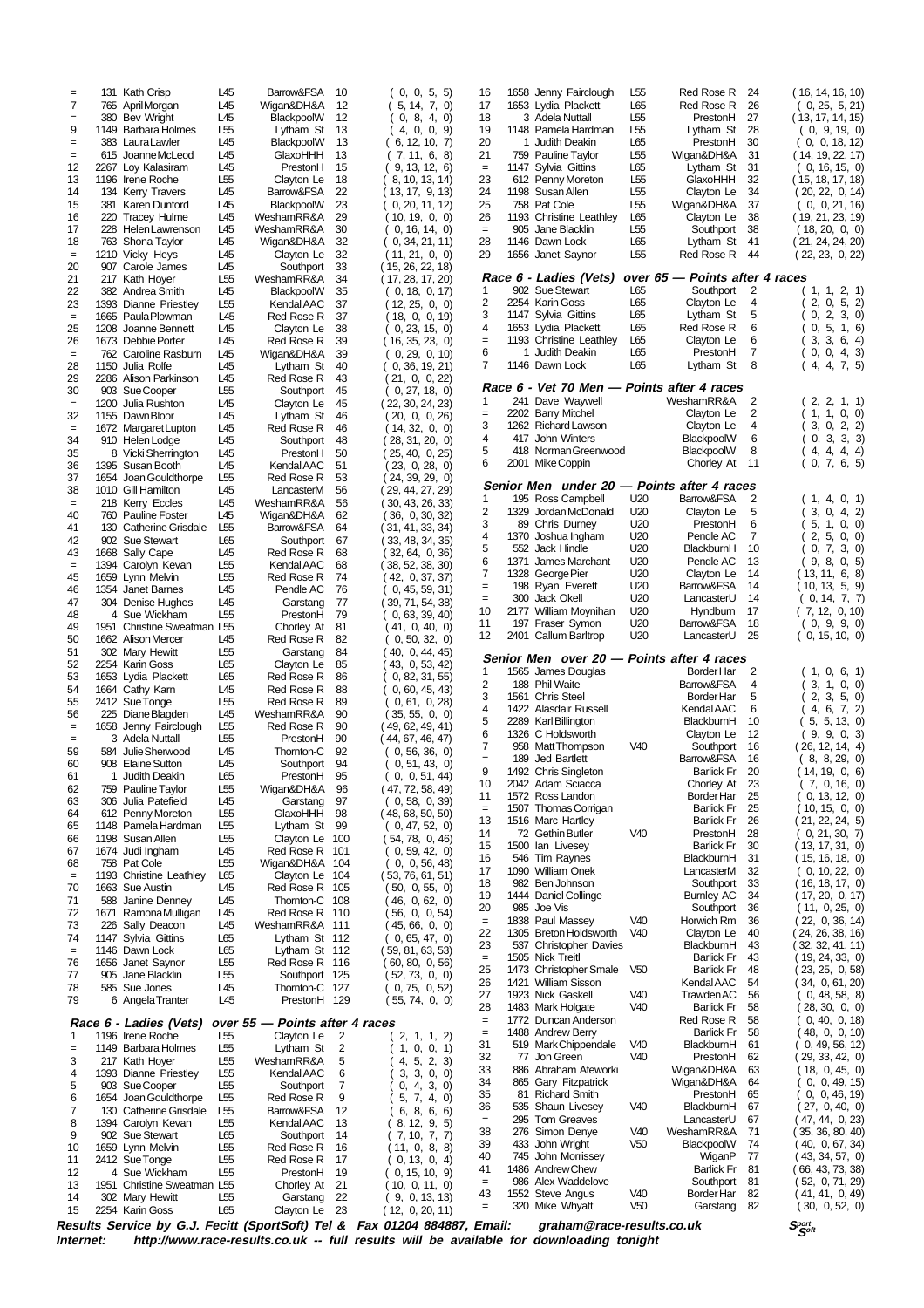| Internet:       |      |                                                   |                                    |                                  |          | Results Service by G.J. Fecitt (SportSoft) Tel & Fax 01204 884887, Email:<br>http://www.race-results.co.uk -- full results will be available for downloading tonight |                       |      | graham@race-results.co.uk                                       |                        |                                 |                     | $S_{\mathcal{S}^{opt}}^{port}$       |
|-----------------|------|---------------------------------------------------|------------------------------------|----------------------------------|----------|----------------------------------------------------------------------------------------------------------------------------------------------------------------------|-----------------------|------|-----------------------------------------------------------------|------------------------|---------------------------------|---------------------|--------------------------------------|
| 15              |      | 2254 Karin Goss                                   | L65                                | Clayton Le                       | 23       | (12, 0, 20, 11)                                                                                                                                                      | $=$                   |      | 320 Mike Whyatt                                                 | V <sub>50</sub>        | Garstang                        | 82                  | (30, 0, 52, 0)                       |
| 13<br>14        |      | 1951 Christine Sweatman L55<br>302 Mary Hewitt    | L55                                | Chorley At<br>Garstang           | 21<br>22 | 10, 0, 11, 0<br>9, 0, 13, 13                                                                                                                                         | $=$<br>43             |      | 986 Alex Waddelove<br>1552 Steve Angus                          | V40                    | Southport<br>Border Har         | 81<br>82            | (52, 0, 71, 29)<br>( 41, 41, 0, 49)  |
| 12              |      | 4 Sue Wickham                                     | L <sub>55</sub>                    | PrestonH                         | 19       | 0, 15, 10, 9                                                                                                                                                         | 41                    |      | 1486 Andrew Chew                                                |                        | <b>Barlick Fr</b>               | 81                  | (66, 43, 73, 38)                     |
| 10<br>11        |      | 1659 Lynn Melvin<br>2412 Sue Tonge                | L <sub>55</sub><br>L55             | Red Rose R<br>Red Rose R         | 16<br>17 | (11, 0, 8, 8)<br>0, 13, 0, 4                                                                                                                                         | 40                    |      | 745 John Morrissey                                              |                        | WiganP                          | 77                  | (43, 34, 57, 0)                      |
| 9               |      | 902 Sue Stewart                                   | L65                                | Southport                        | 14       | 7, 10, 7, 7                                                                                                                                                          | 38<br>39              |      | 276 Simon Denye<br>433 John Wright                              | V40<br>V <sub>50</sub> | WeshamRR&A<br>BlackpoolW        | 71<br>74            | ( 35, 36, 80, 40)<br>(40, 0, 67, 34) |
| 8               |      | 1394 Carolyn Kevan                                | L <sub>55</sub>                    | Kendal AAC                       | 13       | 8, 12, 9, 5                                                                                                                                                          | $=$                   |      | 295 Tom Greaves                                                 |                        | LancasterU                      | 67                  | (47, 44, 0, 23)                      |
| 6<br>7          |      | 1654 Joan Gouldthorpe<br>130 Catherine Grisdale   | L <sub>55</sub><br>L <sub>55</sub> | Red Rose R<br>Barrow&FSA         | 9<br>12  | 5, 7, 4, 0)<br>6, 8, 6, 6                                                                                                                                            | 36                    |      | 535 Shaun Livesey                                               | V40                    | BlackburnH                      | 67                  | (27, 0, 40, 0)                       |
| 5               |      | 903 Sue Cooper                                    | L55                                | Southport                        | 7        | 0, 4, 3, 0)                                                                                                                                                          | 34<br>35              |      | 865 Gary Fitzpatrick<br>81 Richard Smith                        |                        | Wigan&DH&A<br>PrestonH          | 64<br>65            | 0, 0, 49, 15<br>0, 0, 46, 19         |
| 3<br>4          |      | 217 Kath Hoyer<br>1393 Dianne Priestley           | L55<br>L <sub>55</sub>             | WeshamRR&A<br>Kendal AAC         | 5<br>6   | 4, 5, 2, 3<br>3, 3, 0, 0)                                                                                                                                            | 33                    |      | 886 Abraham Afeworki                                            |                        | Wigan&DH&A                      | 63                  | (18, 0, 45, 0)                       |
| $=$             |      | 1149 Barbara Holmes                               | L55                                | Lytham St                        | 2        | 1, 0, 0, 1                                                                                                                                                           | 31<br>32              |      | 519 Mark Chippendale<br>77 Jon Green                            | V40<br>V40             | BlackburnH<br>PrestonH          | 61<br>62            | 0, 49, 56, 12)<br>(29, 33, 42, 0)    |
| 1               |      | 1196 Irene Roche                                  | L55                                | Clayton Le                       | 2        | 2, 1, 1, 2)                                                                                                                                                          | $=$                   |      | 1488 Andrew Berry                                               |                        | <b>Barlick Fr</b>               | 58                  | (48, 0, 0, 10)                       |
|                 |      | Race 6 - Ladies (Vets)                            |                                    | over 55 - Points after 4 races   |          |                                                                                                                                                                      | $\quad =$             |      | 1772 Duncan Anderson                                            |                        | Red Rose R                      | 58                  | 28, 30, 0, 0<br>0, 40, 0, 18         |
| 79              |      | 6 Angela Tranter                                  | L45                                | PrestonH 129                     |          | (55,74,0,0)                                                                                                                                                          | 27<br>28              |      | 1923 Nick Gaskell<br>1483 Mark Holgate                          | V40<br>V40             | TrawdenAC<br>Barlick Fr         | 56<br>58            | 0, 48, 58, 8                         |
| 78              |      | 585 Sue Jones                                     | L45                                | Southport 125<br>Thornton-C 127  |          | 0, 75, 0, 52                                                                                                                                                         | 26                    |      | 1421 William Sisson                                             |                        | Kendal AAC                      | 54                  | (34, 0, 61, 20)                      |
| 76<br>77        |      | 1656 Janet Saynor<br>905 Jane Blacklin            | L <sub>55</sub><br>L55             | Red Rose R 116                   |          | (60, 80, 0, 56)<br>(52, 73, 0, 0)                                                                                                                                    | 25                    |      | 1473 Christopher Smale                                          | V <sub>50</sub>        | <b>Barlick Fr</b>               | 48                  | (23, 25, 0, 58)                      |
| $=$             |      | 1146 Dawn Lock                                    | L65                                | Lytham St 112                    |          | (59, 81, 63, 53)                                                                                                                                                     | 23<br>$=$             |      | 537 Christopher Davies<br>1505 Nick Treitl                      |                        | BlackburnH<br><b>Barlick Fr</b> | 43<br>43            | (32, 32, 41, 11)<br>(19, 24, 33, 0)  |
| 73<br>74        |      | 226 Sally Deacon<br>1147 Sylvia Gittins           | L45<br>L65                         | WeshamRR&A 111<br>Lytham St 112  |          | 45, 66, 0, 0<br>0, 65, 47, 0                                                                                                                                         | 22                    |      | 1305 Breton Holdsworth                                          | V40                    | Clayton Le                      | 40                  | (24, 26, 38, 16)                     |
| 72              |      | 1671 Ramona Mulligan                              | L45                                | Red Rose R 110                   |          | 56, 0, 0, 54)                                                                                                                                                        | 20<br>$=$             |      | 985 Joe Vis<br>1838 Paul Massey                                 | V40                    | Southport<br>Horwich Rm         | 36<br>36            | (11, 0, 25, 0)<br>(22, 0, 36, 14)    |
| 71              |      | 588 Janine Denney                                 | L45                                | Thornton-C 108                   |          | 46, 0, 62, 0                                                                                                                                                         | 19                    |      | 1444 Daniel Collinge                                            |                        | <b>Burnley AC</b>               | 34                  | (17, 20, 0, 17)                      |
| $\,=\,$<br>70   |      | 1193 Christine Leathley<br>1663 Sue Austin        | L65<br>L45                         | Clayton Le 104<br>Red Rose R 105 |          | (53, 76, 61, 51)<br>50, 0, 55, 0                                                                                                                                     | 18                    |      | 982 Ben Johnson                                                 |                        | Southport                       | 33                  | (16, 18, 17, 0)                      |
| 68              |      | 758 Pat Cole                                      | L <sub>55</sub>                    | Wigan&DH&A 104                   |          | 0, 0, 56, 48                                                                                                                                                         | 17                    |      | 1090 William Onek                                               |                        | LancasterM                      | 32                  | (0, 10, 22, 0)                       |
| 67              |      | 1674 Judi Ingham                                  | L45                                | Red Rose R 101                   |          | 0, 59, 42, 0                                                                                                                                                         | 15<br>16              |      | 1500 Ian Livesey<br>546 Tim Raynes                              |                        | <b>Barlick Fr</b><br>BlackburnH | 30<br>31            | (13, 17, 31, 0)<br>(15, 16, 18, 0)   |
| 65<br>66        |      | 1148 Pamela Hardman<br>1198 Susan Allen           | L55<br>L55                         | Lytham St<br>Clayton Le 100      | 99       | (0, 47, 52, 0)<br>(54, 78, 0, 46)                                                                                                                                    | 14                    |      | 72 Gethin Butler                                                | V40                    | PrestonH                        | 28                  | (0, 21, 30, 7)                       |
| 64              |      | 612 Penny Moreton                                 | L55                                | GlaxoHHH                         | 98       | (48, 68, 50, 50)                                                                                                                                                     | $=$<br>13             |      | 1507 Thomas Corrigan<br>1516 Marc Hartley                       |                        | <b>Barlick Fr</b>               | 26                  | (10, 15, 0, 0)<br>(21, 22, 24, 5)    |
| 63              |      | 306 Julia Patefield                               | L45                                | Garstang                         | 97       | 0, 58, 0, 39                                                                                                                                                         | 11                    |      | 1572 Ross Landon                                                |                        | Border Har<br><b>Barlick Fr</b> | 25<br>25            | (0, 13, 12, 0)                       |
| 61<br>62        |      | 1 Judith Deakin<br>759 Pauline Taylor             | L65<br>L55                         | PrestonH<br>Wigan&DH&A           | 95<br>96 | 0, 0, 51, 44<br>(47, 72, 58, 49)                                                                                                                                     | 10                    |      | 2042 Adam Sciacca                                               |                        | Chorley At                      | 23                  | (7, 0, 16, 0)                        |
| 60              |      | 908 Elaine Sutton                                 | L45                                | Southport                        | 94       | 0, 51, 43, 0)                                                                                                                                                        | $=$<br>9              | 189  | Jed Bartlett<br>1492 Chris Singleton                            |                        | Barrow&FSA<br><b>Barlick Fr</b> | 16<br>20            | (8, 8, 29, 0)<br>(14, 19, 0, 6)      |
| 59              |      | 584 Julie Sherwood                                | L45                                | Thornton-C                       | 92       | 0, 56, 36, 0)                                                                                                                                                        | 7                     |      | 958 Matt Thompson                                               | V40                    | Southport                       | 16                  | ( 26, 12, 14,  4)                    |
| $\equiv$<br>$=$ |      | 1658 Jenny Fairclough<br>3 Adela Nuttall          | L <sub>55</sub><br>L55             | Red Rose R<br>PrestonH           | 90<br>90 | ( 49, 62, 49, 41)<br>(44, 67, 46, 47)                                                                                                                                | 6                     |      | 1326 C Holdsworth                                               |                        | Clayton Le                      | 12                  | 9, 9, 0, 3                           |
| 56              |      | 225 Diane Blagden                                 | L45                                | WeshamRR&A                       | 90       | 35, 55, 0, 0                                                                                                                                                         | 4<br>5                |      | 1422 Alasdair Russell<br>2289 Karl Billington                   |                        | Kendal AAC<br>BlackburnH        | 6<br>10             | 4, 6, 7, 2)<br>5, 5, 13, 0           |
| 55              |      | 2412 Sue Tonge                                    | L <sub>55</sub>                    | Red Rose R                       | 89       | 0, 61, 0, 28                                                                                                                                                         | 3                     |      | 1561 Chris Steel                                                |                        | Border Har                      | 5                   | 2, 3, 5, 0                           |
| 53<br>54        |      | 1653 Lydia Plackett<br>1664 Cathy Kam             | L65<br>L45                         | Red Rose R<br>Red Rose R         | 86<br>88 | 0, 82, 31, 55<br>0, 60, 45, 43                                                                                                                                       | 2                     |      | 188 Phil Waite                                                  |                        | Barrow&FSA                      | 4                   | 3, 1, 0, 0)                          |
| 52              |      | 2254 Karin Goss                                   | L65                                | Clayton Le                       | 85       | (43, 0, 53, 42)                                                                                                                                                      | 1                     |      | Senior Men over 20 - Points after 4 races<br>1565 James Douglas |                        | Border Har                      | $\overline{2}$      | (1, 0, 6, 1)                         |
| 51              |      | 302 Mary Hewitt                                   | L55                                | Red Rose R<br>Garstang           | 84       | 0, 50, 32, 0<br>40, 0, 44, 45                                                                                                                                        |                       |      |                                                                 |                        |                                 |                     |                                      |
| 49<br>50        |      | 1951 Christine Sweatman L55<br>1662 Alison Mercer | L45                                | Chorley At                       | 81<br>82 | (41, 0, 40, 0)                                                                                                                                                       | 11<br>12              |      | 197 Fraser Symon<br>2401 Callum Barltrop                        | U20<br>U20             | Barrow&FSA<br>LancasterU        | 18<br>25            | (0, 9, 9, 0)<br>(0, 15, 10, 0)       |
| 48              |      | 4 Sue Wickham                                     | L <sub>55</sub>                    | PrestonH                         | 79       | 0, 63, 39, 40                                                                                                                                                        | 10                    |      | 2177 William Moynihan                                           | U20                    | Hyndburn                        | 17                  | (7, 12, 0, 10)                       |
| 46<br>47        |      | 1354 Janet Barnes<br>304 Denise Hughes            | L45<br>L45                         | Pendle AC<br>Garstang            | 76<br>77 | 0, 45, 59, 31)<br>( 39, 71, 54, 38)                                                                                                                                  | $=$                   | 300  | Jack Okell                                                      | U20                    | LancasterU                      | 14                  | (0, 14, 7, 7)                        |
| 45              |      | 1659 Lynn Melvin                                  | L <sub>55</sub>                    | Red Rose R                       | 74       | (42, 0, 37, 37)                                                                                                                                                      | 7<br>$=$              |      | 1328 George Pier<br>198 Ryan Everett                            | U20<br>U20             | Clayton Le<br>Barrow&FSA        | 14<br>14            | (13, 11, 6, 8)<br>( 10, 13,  5,  9)  |
| $\equiv$        |      | 1394 Carolyn Kevan                                | L <sub>55</sub>                    | Kendal AAC                       | 68       | (38, 52, 38, 30)                                                                                                                                                     | 6                     |      | 1371 James Marchant                                             | U20                    | Pendle AC                       | 13                  | 9, 8, 0, 5                           |
| 42<br>43        |      | 902 Sue Stewart<br>1668 Sally Cape                | L65<br>L45                         | Southport<br>Red Rose R          | 67<br>68 | (33, 48, 34, 35)<br>(32, 64, 0, 36)                                                                                                                                  | 5                     | 552  | Jack Hindle                                                     | U20                    | BlackburnH                      | 10                  | 7, 3, 0)<br>0.                       |
| 41              |      | 130 Catherine Grisdale                            | L <sub>55</sub>                    | Barrow&FSA                       | 64       | ( 31, 41, 33, 34)                                                                                                                                                    | 3<br>4                |      | 89 Chris Durney<br>1370 Joshua Ingham                           | U20<br>U20             | PrestonH<br>Pendle AC           | 6<br>$\overline{7}$ | 5, 1, 0, 0)<br>2, 5, 0, 0            |
| 40              |      | 760 Pauline Foster                                | L45                                | Wigan&DH&A                       | 62       | (36, 0, 30, 32)                                                                                                                                                      | 2                     | 1329 | Jordan McDonald                                                 | U20                    | Clayton Le                      | 5                   | 0, 4, 2)<br>3,                       |
| 38<br>$=$       |      | 1010 Gill Hamilton<br>218 Kerry Eccles            | L45<br>L45                         | LancasterM<br>WeshamRR&A         | 56<br>56 | ( 29, 44, 27, 29)<br>(30, 43, 26, 33)                                                                                                                                | 1                     |      | 195 Ross Campbell                                               | U20                    | Barrow&FSA                      | $\overline{2}$      | 4, 0, 1<br>1.                        |
| 37              |      | 1654 Joan Gouldthorpe                             | L55                                | Red Rose R                       | 53       | (24, 39, 29, 0)                                                                                                                                                      |                       |      | Senior Men under 20 - Points after 4 races                      |                        |                                 |                     |                                      |
| 36              |      | 1395 Susan Booth                                  | L45                                | Kendal AAC                       | 51       | (23, 0, 28, 0)                                                                                                                                                       | 6                     |      | 2001 Mike Coppin                                                |                        | Chorley At                      | 11                  | (0, 7, 6, 5)                         |
| 34<br>35        |      | 910 Helen Lodge<br>8 Vicki Sherrington            | L45<br>L45                         | Southport<br>PrestonH            | 48<br>50 | (28, 31, 20, 0)<br>25, 40, 0, 25                                                                                                                                     | 4<br>5                |      | 417 John Winters<br>418 Norman Greenwood                        |                        | BlackpoolW<br>BlackpoolW        | 6<br>8              | 0, 3, 3, 3)<br>4, 4, 4)<br>4.        |
| $=$             |      | 1672 Margaret Lupton                              | L45                                | Red Rose R                       | 46       | (14, 32, 0, 0)                                                                                                                                                       | 3                     |      | 1262 Richard Lawson                                             |                        | Clayton Le                      | 4                   | 3, 0, 2, 2)                          |
| $\equiv$<br>32  |      | 1155 Dawn Bloor                                   | L45                                | Lytham St                        | 46       | (20, 0, 0, 26)                                                                                                                                                       | $=$                   |      | 2202 Barry Mitchel                                              |                        | Clayton Le                      | $\overline{2}$      | 1, 1, 0, 0)                          |
| 30              |      | 903 Sue Cooper<br>1200 Julia Rushton              | L <sub>55</sub><br>L45             | Southport<br>Clayton Le          | 45<br>45 | 0, 27, 18, 0<br>(22, 30, 24, 23)                                                                                                                                     | 1                     |      | Race 6 - Vet 70 Men - Points after 4 races<br>241 Dave Waywell  |                        | WeshamRR&A                      | $\overline{2}$      | (2, 2, 1, 1)                         |
| 29              |      | 2286 Alison Parkinson                             | L45                                | Red Rose R                       | 43       | (21, 0, 0, 22)                                                                                                                                                       |                       |      |                                                                 |                        |                                 |                     |                                      |
| $\equiv$<br>28  |      | 762 Caroline Rasburn<br>1150 Julia Rolfe          | L45<br>L45                         | Wigan&DH&A<br>Lytham St          | 39<br>40 | 0, 29, 0, 10<br>(0, 36, 19, 21)                                                                                                                                      | 6<br>7                |      | 1 Judith Deakin<br>1146 Dawn Lock                               | L65<br>L65             | PrestonH<br>Lytham St           | 7<br>8              | 0, 0, 4, 3<br>4, 4, 7, 5)            |
| 26              |      | 1673 Debbie Porter                                | L45                                | Red Rose R                       | 39       | (16, 35, 23, 0)                                                                                                                                                      | $=$                   |      | 1193 Christine Leathley                                         | L65                    | Clayton Le                      | 6                   | 3,<br>3, 6, 4                        |
| 25              | 1208 | Joanne Bennett                                    | L45                                | Clayton Le                       | 38       | 0, 23, 15, 0                                                                                                                                                         | 4                     |      | 1653 Lydia Plackett                                             | L65                    | Red Rose R                      | 6                   | 0, 5, 1, 6                           |
| 23<br>$\equiv$  |      | 1393 Dianne Priestlev<br>1665 Paula Plowman       | L <sub>55</sub><br>L45             | Kendal AAC<br>Red Rose R         | 37<br>37 | (12, 25, 0, 0)<br>18, 0, 0, 19                                                                                                                                       | 2<br>3                |      | 2254 Karin Goss<br>1147 Sylvia Gittins                          | L65<br>L65             | Clayton Le<br>Lytham St         | 4<br>5              | 2, 0, 5, 2<br>0, 2, 3, 0)            |
| 22              |      | 382 Andrea Smith                                  | L45                                | BlackpoolW                       | 35       | (0, 18, 0, 17)                                                                                                                                                       | 1                     |      | 902 Sue Stewart                                                 | L65                    | Southport                       | 2                   | 1, 1, 2, 1)                          |
| 20<br>21        |      | 217 Kath Hoyer                                    | L45<br>L55                         | Southport<br>WeshamRR&A          | 33<br>34 | (15, 26, 22, 18)<br>(17, 28, 17, 20)                                                                                                                                 |                       |      | Race 6 - Ladies (Vets)                                          |                        | over 65 - Points after 4 races  |                     |                                      |
| $\quad \  \  =$ |      | 1210 Vicky Heys<br>907 Carole James               | L45                                | Clayton Le                       | 32       | (11, 21, 0, 0)                                                                                                                                                       | 29                    |      | 1656 Janet Saynor                                               | L <sub>55</sub>        | Red Rose R                      | 44                  | (22, 23, 0, 22)                      |
| 18              |      | 763 Shona Taylor                                  | L45                                | Wigan&DH&A                       | 32       | 0, 34, 21, 11                                                                                                                                                        | 28                    |      | 1146 Dawn Lock                                                  | L65                    | Lytham St                       | 41                  | (21, 24, 24, 20)                     |
| 16<br>17        |      | 220 Tracey Hulme<br>228 Helen Lawrenson           | L45<br>L45                         | WeshamRR&A<br>WeshamRR&A         | 29<br>30 | (10, 19, 0, 0)<br>0, 16, 14, 0)                                                                                                                                      | 26<br>$\quad \  \  =$ |      | 1193 Christine Leathley<br>905 Jane Blacklin                    | L65<br>L <sub>55</sub> | Clayton Le<br>Southport         | 38<br>38            | (19, 21, 23, 19)<br>(18, 20, 0, 0)   |
| 15              |      | 381 Karen Dunford                                 | L45                                | BlackpoolW                       | 23       | 0, 20, 11, 12                                                                                                                                                        | 25                    |      | 758 Pat Cole                                                    | L55                    | Wigan&DH&A                      | 37                  | (0, 0, 21, 16)                       |
| 14              |      | 134 Kerry Travers                                 | L45                                | Barrow&FSA                       | 22       | 13, 17, 9, 13                                                                                                                                                        | 24                    |      | 1198 Susan Allen                                                | L <sub>55</sub>        | Clayton Le                      | 34                  | (20, 22, 0, 14)                      |
| 12<br>13        |      | 2267 Loy Kalasiram<br>1196 Irene Roche            | L45<br>L <sub>55</sub>             | PrestonH<br>Clayton Le           | 15<br>18 | 9, 13, 12, 6<br>8, 10, 13, 14)                                                                                                                                       | $=$<br>23             |      | 1147 Sylvia Gittins<br>612 Penny Moreton                        | L65<br>L <sub>55</sub> | Lytham St<br>GlaxoHHH           | 31<br>32            | (0, 16, 15, 0)<br>(15, 18, 17, 18)   |
| $=$             |      | 615 Joanne McLeod                                 | L45                                | GlaxoHHH                         | 13       | (7, 11, 6, 8)                                                                                                                                                        | 21                    |      | 759 Pauline Taylor                                              | L <sub>55</sub>        | Wigan&DH&A                      | 31                  | (14, 19, 22, 17)                     |
| 9<br>$=$        |      | 1149 Barbara Holmes<br>383 Laura Lawler           | L55<br>L45                         | Lytham St<br>BlackpoolW          | 13<br>13 | 4, 0, 0, 9<br>(6, 12, 10, 7)                                                                                                                                         | 19<br>20              |      | 1148 Pamela Hardman<br>1 Judith Deakin                          | L55<br>L65             | Lytham St<br>PrestonH           | 28<br>30            | (0, 9, 19, 0)<br>(0, 0, 18, 12)      |
| $=$             |      | 380 Bev Wright                                    | L45                                | BlackpoolW                       | 12       | 0, 8, 4, 0)                                                                                                                                                          | 18                    |      | 3 Adela Nuttall                                                 | L <sub>55</sub>        | PrestonH                        | 27                  | (13, 17, 14, 15)                     |
| $=$<br>7        |      | 765 April Morgan                                  | L45                                | Wigan&DH&A                       | 12       | 5, 14, 7, 0)                                                                                                                                                         | 17                    |      | 1653 Lydia Plackett                                             | L65                    | Red Rose R                      | 26                  | (0, 25, 5, 21)                       |
|                 |      | 131 Kath Crisp                                    | L45                                | Barrow&FSA                       | 10       | 0, 0, 5, 5                                                                                                                                                           | 16                    | 1658 | Jenny Fairclough                                                | L <sub>55</sub>        | Red Rose R                      | 24                  | (16, 14, 16, 10)                     |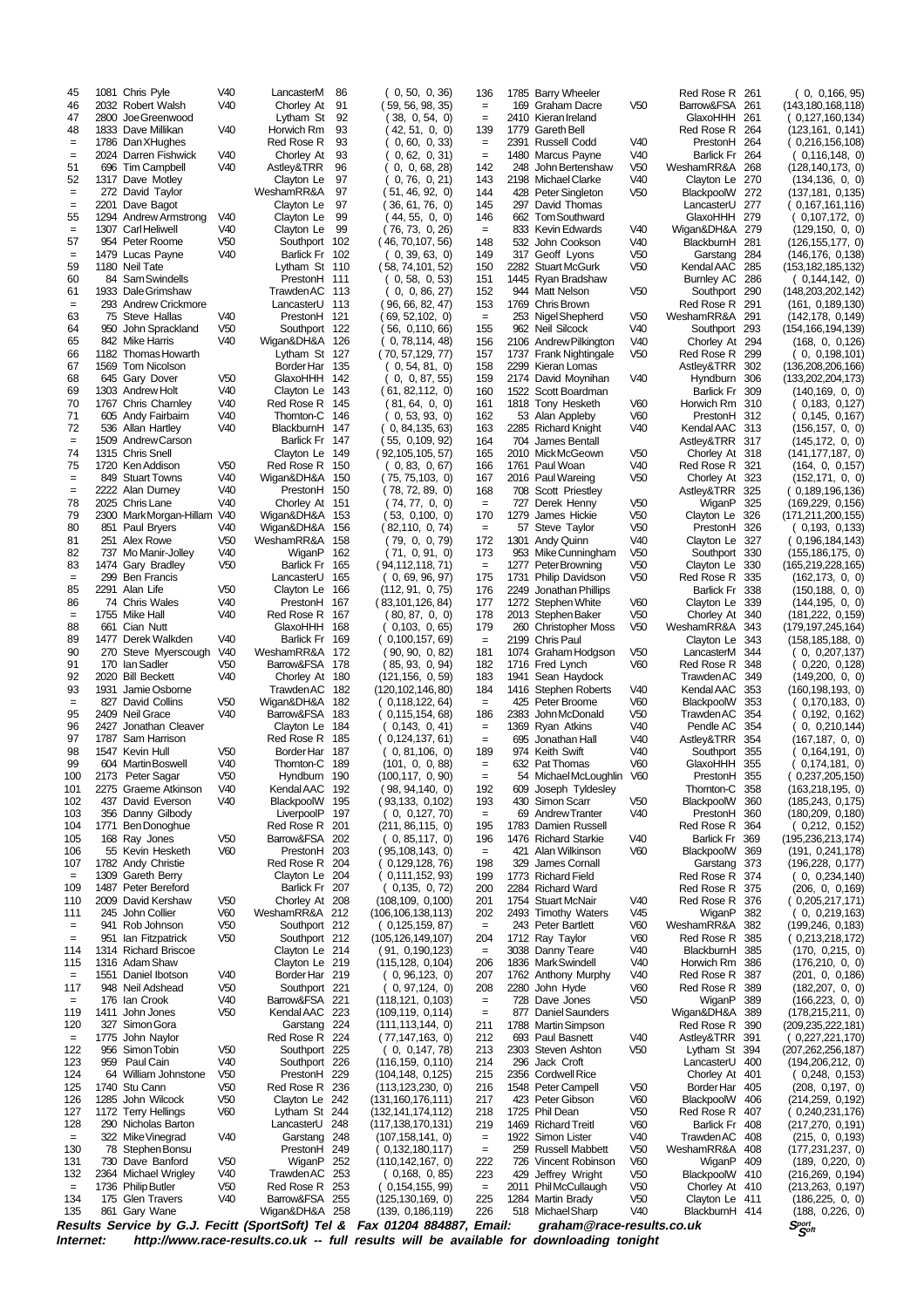| 45                       |             | 1081 Chris Pyle                            | V40                                | LancasterM                       | 86         | 0, 50, 0, 36                                                                            | 136                    |             | 1785 Barry Wheeler                         |                                    | Red Rose R 261                   |            | 0, 0,166,95                                |
|--------------------------|-------------|--------------------------------------------|------------------------------------|----------------------------------|------------|-----------------------------------------------------------------------------------------|------------------------|-------------|--------------------------------------------|------------------------------------|----------------------------------|------------|--------------------------------------------|
| 46<br>47                 | 2800        | 2032 Robert Walsh<br>Joe Greenwood         | V40                                | Chorley At<br>Lytham St          | 91<br>92   | (59, 56, 98, 35)<br>(38, 0, 54, 0)                                                      | $=$<br>$=$             |             | 169 Graham Dacre<br>2410 Kieran Ireland    | V50                                | Barrow&FSA<br>GlaxoHHH 261       | 261        | (143,180,168,118)<br>(0,127,160,134)       |
| 48                       |             | 1833 Dave Millikan                         | V40                                | Horwich Rm                       | 93         | 42, 51, 0, 0                                                                            | 139                    | 1779        | <b>Gareth Bell</b>                         |                                    | Red Rose R 264                   |            | (123, 161, 0, 141)                         |
| $\qquad \qquad =$<br>$=$ |             | 1786 Dan XHughes<br>2024 Darren Fishwick   | V40                                | Red Rose R<br>Chorley At         | 93<br>93   | 0, 60, 0, 33                                                                            | $=$<br>$\quad \  \  =$ |             | 2391 Russell Codd                          | V40<br>V40                         | PrestonH 264<br>Barlick Fr 264   |            | (0,216,156,108)                            |
| 51                       |             | 696 Tim Campbell                           | V40                                | Astley&TRR                       | 96         | 0, 62, 0, 31)<br>0, 0, 68, 28                                                           | 142                    | 248         | 1480 Marcus Payne<br>John Bertenshaw       | V50                                | WeshamRR&A                       | 268        | (0,116,148,0)<br>(128, 140, 173, 0)        |
| 52                       |             | 1317 Dave Motley                           |                                    | Clayton Le                       | 97         | 0, 76, 0, 21                                                                            | 143                    |             | 2198 Michael Clarke                        | V40                                | Clayton Le                       | 270        | (134, 136, 0, 0)                           |
| $=$<br>$=$               | 2201        | 272 David Taylor<br>Dave Bagot             |                                    | WeshamRR&A<br>Clayton Le         | 97<br>97   | 51, 46, 92, 0<br>36, 61, 76, 0                                                          | 144<br>145             |             | 428 Peter Singleton<br>297 David Thomas    | V <sub>50</sub>                    | BlackpoolW 272<br>LancasterU     | 277        | (137, 181, 0, 135)<br>( 0,167,161,116)     |
| 55                       |             | 1294 Andrew Armstrong                      | V40                                | Clayton Le                       | 99         | (44, 55, 0, 0)                                                                          | 146                    |             | 662 Tom Southward                          |                                    | GlaxoHHH                         | 279        | (0,107,172,0)                              |
| $=$                      |             | 1307 Carl Heliwell                         | V40                                | Clayton Le                       | 99         | (76, 73, 0, 26)                                                                         | $=$                    |             | 833 Kevin Edwards                          | V40                                | Wigan&DH&A 279                   |            | (129, 150, 0, 0)                           |
| 57<br>$=$                |             | 954 Peter Roome<br>1479 Lucas Payne        | V <sub>50</sub><br>V40             | Southport 102<br>Barlick Fr 102  |            | (46, 70, 107, 56)<br>(0, 39, 63, 0)                                                     | 148<br>149             |             | 532 John Cookson<br>317 Geoff Lyons        | V40<br>V50                         | BlackburnH<br>Garstang           | 281<br>284 | (126, 155, 177, 0)<br>(146, 176, 0, 138)   |
| 59                       |             | 1180 Neil Tate                             |                                    | Lytham St 110                    |            | (58, 74, 101, 52)                                                                       | 150                    |             | 2282 Stuart McGurk                         | V <sub>50</sub>                    | Kendal AAC                       | 285        | (153, 182, 185, 132)                       |
| 60                       |             | 84 Sam Swindells                           |                                    | PrestonH 111                     |            | 0, 58, 0, 53                                                                            | 151                    |             | 1445 Ryan Bradshaw                         |                                    | Burnley AC 286                   |            | ( 0,144,142, 0)                            |
| 61<br>$=$                |             | 1933 Dale Grimshaw<br>293 Andrew Crickmore |                                    | Trawden AC 113<br>LancasterU 113 |            | 0, 0, 86, 27<br>( 96, 66, 82, 47)                                                       | 152<br>153             |             | 944 Matt Nelson<br>1769 Chris Brown        | V <sub>50</sub>                    | Southport<br>Red Rose R          | 290<br>291 | (148,203,202,142)<br>(161, 0.189, 130)     |
| 63                       |             | 75 Steve Hallas                            | V40                                | PrestonH 121                     |            | 69, 52, 102, 0                                                                          | $=$                    |             | 253 Nigel Shepherd                         | V <sub>50</sub>                    | WeshamRR&A 291                   |            | (142, 178, 0, 149)                         |
| 64<br>65                 | 950         | John Sprackland<br>842 Mike Harris         | V <sub>50</sub><br>V40             | Southport 122                    |            | 56, 0,110, 66)                                                                          | 155<br>156             |             | 962 Neil Silcock<br>2106 Andrew Pilkington | V40                                | Southport                        | 293        | (154, 166, 194, 139)                       |
| 66                       |             | 1182 Thomas Howarth                        |                                    | Wigan&DH&A 126<br>Lytham St 127  |            | 0, 78, 114, 48<br>(70, 57, 129, 77)                                                     | 157                    |             | 1737 Frank Nightingale                     | V40<br>V <sub>50</sub>             | Chorley At<br>Red Rose R         | 294<br>299 | (168, 0, 0,126)<br>0, 0,198,101            |
| 67                       |             | 1569 Tom Nicolson                          |                                    | Border Har 135                   |            | (0,54,81,0)                                                                             | 158                    |             | 2299 Kieran Lomas                          |                                    | Astley&TRR                       | 302        | (136, 208, 206, 166)                       |
| 68<br>69                 |             | 645 Gary Dover<br>1303 Andrew Holt         | V <sub>50</sub><br>V40             | GlaxoHHH 142<br>Clayton Le 143   |            | 0, 0, 87, 55                                                                            | 159<br>160             |             | 2174 David Moynihan                        | V40                                | Hyndburn<br>Barlick Fr 309       | 306        | (133, 202, 204, 173)                       |
| 70                       |             | 1767 Chris Charnley                        | V40                                | Red Rose R 145                   |            | (61, 82, 112, 0)<br>(81, 64, 0, 0)                                                      | 161                    |             | 1522 Scott Boardman<br>1818 Tony Hesketh   | V60                                | Horwich Rm                       | 310        | (140, 169, 0, 0)<br>0,183, 0,127           |
| 71                       |             | 605 Andy Fairbairn                         | V40                                | Thornton-C 146                   |            | 0, 53, 93, 0                                                                            | 162                    |             | 53 Alan Appleby                            | V60                                | PrestonH 312                     |            | 0,145, 0,167                               |
| 72                       |             | 536 Allan Hartley                          | V40                                | BlackburnH                       | 147        | ( 0, 84,135, 63)                                                                        | 163                    |             | 2285 Richard Knight                        | V40                                | Kendal AAC 313                   |            | (156, 157, 0, 0)                           |
| $=$<br>74                |             | 1509 Andrew Carson<br>1315 Chris Snell     |                                    | Barlick Fr 147<br>Clayton Le 149 |            | (55, 0,109, 92)<br>(92,105,105, 57)                                                     | 164<br>165             | 704         | James Bentall<br>2010 MickMcGeown          | V <sub>50</sub>                    | Astley&TRR 317<br>Chorley At 318 |            | (145, 172, 0, 0)<br>(141,177,187, 0)       |
| 75                       |             | 1720 Ken Addison                           | V <sub>50</sub>                    | Red Rose R 150                   |            | (0, 83, 0, 67)                                                                          | 166                    |             | 1761 Paul Woan                             | V40                                | Red Rose R 321                   |            | (164, 0, 0, 157)                           |
| $=$                      |             | 849 Stuart Towns                           | V40                                | Wigan&DH&A 150                   |            | (75, 75, 103, 0)                                                                        | 167                    |             | 2016 Paul Wareing                          | V <sub>50</sub>                    | Chorley At                       | 323        | (152,171, 0, 0)                            |
| $=$<br>78                |             | 2222 Alan Durney<br>2025 Chris Lane        | V40<br>V40                         | PrestonH 150<br>Chorley At 151   |            | (78, 72, 89, 0)<br>(74, 77, 0, 0)                                                       | 168<br>$=$             |             | 708 Scott Priestley<br>727 Derek Henny     | V <sub>50</sub>                    | Astley&TRR<br>WiganP             | 325<br>325 | (0,189,196,136)<br>(169, 229, 0, 156)      |
| 79                       |             | 2300 Mark Morgan-Hillam                    | V40                                | Wigan&DH&A                       | 153        | (53, 0,100, 0)                                                                          | 170                    | 1279        | James Hickie                               | V <sub>50</sub>                    | Clayton Le                       | 326        | (171, 211, 200, 155)                       |
| 80                       |             | 851 Paul Bryers                            | V40                                | Wigan&DH&A                       | 156        | (82, 110, 0, 74)                                                                        | $=$                    |             | 57 Steve Taylor                            | V <sub>50</sub>                    | PrestonH                         | 326        | (0,193, 0,133)                             |
| 81<br>82                 |             | 251 Alex Rowe<br>737 Mo Manir-Jolley       | V <sub>50</sub><br>V40             | WeshamRR&A<br>WiganP             | 158<br>162 | (79, 0, 0, 79)<br>(71, 0, 91, 0)                                                        | 172                    |             | 1301 Andy Quinn                            | V40                                | Clayton Le 327                   |            | (0,196,184,143)                            |
| 83                       |             | 1474 Gary Bradley                          | V <sub>50</sub>                    | Barlick Fr 165                   |            | (94,112,118, 71)                                                                        | 173<br>$\equiv$        |             | 953 Mike Cunningham<br>1277 Peter Browning | V <sub>50</sub><br>V <sub>50</sub> | Southport 330<br>Clayton Le      | 330        | (155, 186, 175, 0)<br>(165,219,228,165)    |
| $=$                      | 299         | <b>Ben Francis</b>                         |                                    | LancasterU                       | 165        | (0, 69, 96, 97)                                                                         | 175                    |             | 1731 Philip Davidson                       | V50                                | Red Rose R                       | 335        | (162, 173, 0, 0)                           |
| 85                       |             | 2291 Alan Life                             | V <sub>50</sub>                    | Clayton Le 166                   |            | (112, 91, 0, 75)                                                                        | 176                    | 2249        | Jonathan Phillips                          |                                    | <b>Barlick Fr</b>                | 338        | (150, 188, 0, 0)                           |
| 86<br>$=$                |             | 74 Chris Wales<br>1755 Mike Hall           | V40<br>V <sub>40</sub>             | PrestonH 167<br>Red Rose R 167   |            | (83, 101, 126, 84)<br>(80, 87, 0, 0)                                                    | 177<br>178             |             | 1272 Stephen White<br>2013 Stephen Baker   | V60<br>V <sub>50</sub>             | Clayton Le<br>Chorley At         | 339<br>340 | (144, 195, 0, 0)<br>(181, 222, 0, 159)     |
| 88                       |             | 661 Cian Nutt                              |                                    | GlaxoHHH 168                     |            | (0,103, 0,65)                                                                           | 179                    |             | 260 Christopher Moss                       | V <sub>50</sub>                    | WeshamRR&A                       | 343        | (179, 197, 245, 164)                       |
| 89                       |             | 1477 Derek Walkden                         | V40                                | Barlick Fr 169                   |            | (0,100,157,69)                                                                          | $\quad \  \  =$        |             | 2199 Chris Paul                            |                                    | Clayton Le                       | 343        | (158, 185, 188, 0)                         |
| 90<br>91                 | 170         | 270 Steve Myerscough<br>lan Sadler         | V40<br>V <sub>50</sub>             | WeshamRR&A 172<br>Barrow&FSA 178 |            | (90, 90, 0, 82)<br>85, 93, 0, 94                                                        | 181<br>182             | 1716        | 1074 Graham Hodgson<br>Fred Lynch          | V <sub>50</sub><br>V60             | LancasterM<br>Red Rose R         | 344<br>348 | 0, 0,207,137<br>0,220, 0,128               |
| 92                       | 2020        | <b>Bill Beckett</b>                        | V40                                | Chorley At                       | 180        | (121, 156, 0, 59)                                                                       | 183                    | 1941        | Sean Haydock                               |                                    | Trawden AC                       | 349        | (149,200, 0, 0)                            |
| 93                       | 1931        | Jamie Osborne                              |                                    | Trawden AC                       | 182        | (120, 102, 146, 80)                                                                     | 184                    | 1416        | Stephen Roberts                            | V40                                | Kendal AAC                       | 353        | (160, 198, 193, 0)                         |
| $\quad =$<br>95          | 827<br>2409 | David Collins<br>Neil Grace                | V <sub>50</sub><br>V40             | Wigan&DH&A<br>Barrow&FSA         | 182<br>183 | 0,118,122,64<br>(0, 115, 154, 68)                                                       | $\equiv$<br>186        | 425<br>2383 | Peter Broome<br>John McDonald              | V60<br>V <sub>50</sub>             | BlackpoolW<br>TrawdenAC          | 353<br>354 | 0,170,183, 0<br>0,192, 0,162               |
| 96                       |             | 2427 Jonathan Cleaver                      |                                    | Clayton Le                       | 184        | (0, 143, 0, 41)                                                                         | $\quad \  \  =$        |             | 1369 Ryan Atkins                           | V40                                | Pendle AC                        | 354        | 0, 0,210,144                               |
| 97                       | 1787        | Sam Harrison                               |                                    | Red Rose R                       | 185        | ( 0,124,137, 61)                                                                        | $=$                    | 695         | Jonathan Hall                              | V40                                | Astley&TRR                       | 354        | (167,187, 0, 0)                            |
| 98<br>99                 |             | 1547 Kevin Hull<br>604 Martin Boswell      | V <sub>50</sub><br>V40             | Border Har 187<br>Thornton-C 189 |            | (0, 81, 106, 0)<br>(101, 0, 0, 88)                                                      | 189<br>$\quad \  \  =$ |             | 974 Keith Swift<br>632 Pat Thomas          | V40<br>V60                         | Southport<br>GlaxoHHH            | 355<br>355 | 0,164,191, 0<br>0,174,181, 0)              |
| 100                      |             | 2173 Peter Sagar                           | V <sub>50</sub>                    | Hyndburn 190                     |            | (100, 117, 0, 90)                                                                       | $=$                    |             | 54 MichaelMcLoughlin V60                   |                                    | PrestonH 355                     |            | ( 0,237,205,150)                           |
| 101                      |             | 2275 Graeme Atkinson                       | V40                                | Kendal AAC                       | 192        | (98, 94, 140, 0)                                                                        | 192                    |             | 609 Joseph Tyldesley                       |                                    | Thornton-C                       | 358        | (163,218,195, 0)                           |
| 102<br>103               |             | 437 David Everson<br>356 Danny Gilbody     | V40                                | BlackpoolW 195<br>LiverpoolP 197 |            | (93, 133, 0, 102)<br>(0, 0, 127, 70)                                                    | 193<br>$\equiv$        |             | 430 Simon Scarr<br>69 Andrew Tranter       | V <sub>50</sub><br>V40             | BlackpoolW 360<br>PrestonH 360   |            | (185, 243, 0, 175)<br>(180, 209, 0, 180)   |
| 104                      |             | 1771 Ben Donoghue                          |                                    | Red Rose R 201                   |            | (211, 86, 115, 0)                                                                       | 195                    |             | 1783 Damien Russell                        |                                    | Red Rose R 364                   |            | (0,212, 0,152)                             |
| 105                      |             | 168 Ray Jones                              | V <sub>50</sub>                    | Barrow&FSA 202                   |            | (0, 85, 117, 0)                                                                         | 196                    |             | 1476 Richard Starkie                       | V40                                | Barlick Fr 369                   |            | (195, 236, 213, 174)                       |
| 106<br>107               |             | 55 Kevin Hesketh<br>1782 Andy Christie     | V60                                | PrestonH 203<br>Red Rose R 204   |            | (95, 108, 143, 0)<br>0,129,128, 76)                                                     | $=$<br>198             | 329         | 421 Alan Wilkinson<br>James Cornall        | V60                                | BlackpoolW 369<br>Garstang 373   |            | (191, 0, 241, 178)<br>(196, 228, 0, 177)   |
| $=$                      |             | 1309 Gareth Berry                          |                                    | Clayton Le 204                   |            | (0,111,152,93)                                                                          | 199                    |             | 1773 Richard Field                         |                                    | Red Rose R 374                   |            | (0, 0, 234, 140)                           |
| 109                      |             | 1487 Peter Bereford                        |                                    | Barlick Fr 207                   |            | (0, 135, 0, 72)                                                                         | 200                    |             | 2284 Richard Ward                          |                                    | Red Rose R 375                   |            | (206, 0, 0, 169)                           |
| 110<br>111               |             | 2009 David Kershaw<br>245 John Collier     | V <sub>50</sub><br>V <sub>60</sub> | Chorley At 208<br>WeshamRR&A 212 |            | (108, 109, 0, 100)<br>(106, 106, 138, 113)                                              | 201<br>202             |             | 1754 Stuart McNair<br>2493 Timothy Waters  | V40<br>V45                         | Red Rose R 376<br>WiganP         | 382        | (0,205,217,171)                            |
| $\qquad \qquad =$        |             | 941 Rob Johnson                            | V <sub>50</sub>                    | Southport 212                    |            | (0, 125, 159, 87)                                                                       | $\equiv$               |             | 243 Peter Bartlett                         | V60                                | WeshamRR&A                       | 382        | (0, 0, 219, 163)<br>(199, 246, 0, 183)     |
| $=$                      |             | 951 Ian Fitzpatrick                        | V <sub>50</sub>                    | Southport 212                    |            | (105, 126, 149, 107)                                                                    | 204                    |             | 1712 Ray Taylor                            | V60                                | Red Rose R                       | 385        | (0,213,218,172)                            |
| 114                      |             | 1314 Richard Briscoe                       |                                    | Clayton Le 214                   |            | (91, 0, 190, 123)                                                                       | $\equiv$               |             | 3038 Danny Teare                           | V <sub>40</sub>                    | BlackburnH                       | 385        | (170, 0, 215, 0)                           |
| 115<br>$=$               |             | 1316 Adam Shaw<br>1551 Daniel Ibotson      | V40                                | Clayton Le 219<br>Border Har 219 |            | (115, 128, 0, 104)<br>(0, 96, 123, 0)                                                   | 206<br>207             |             | 1836 Mark Swindell<br>1762 Anthony Murphy  | V40<br>V40                         | Horwich Rm<br>Red Rose R         | 386<br>387 | (176, 210, 0, 0)<br>(201, 0, 0, 186)       |
| 117                      |             | 948 Neil Adshead                           | V <sub>50</sub>                    | Southport 221                    |            | (0, 97, 124, 0)                                                                         | 208                    |             | 2280 John Hyde                             | V60                                | Red Rose R 389                   |            | (182, 207, 0, 0)                           |
| $\qquad \qquad =$        |             | 176 Ian Crook                              | V40                                | Barrow&FSA 221                   |            | (118, 121, 0, 103)                                                                      | $\equiv$               |             | 728 Dave Jones                             | V <sub>50</sub>                    | WiganP                           | 389        | (166, 223, 0, 0)                           |
| 119<br>120               |             | 1411 John Jones<br>327 Simon Gora          | V <sub>50</sub>                    | Kendal AAC 223<br>Garstang 224   |            | (109, 119, 0, 114)<br>(111, 113, 144, 0)                                                | $\equiv$<br>211        |             | 877 Daniel Saunders<br>1788 Martin Simpson |                                    | Wigan&DH&A<br>Red Rose R 390     | 389        | (178, 215, 211, 0)<br>(209, 235, 222, 181) |
| $\equiv$                 |             | 1775 John Naylor                           |                                    | Red Rose R 224                   |            | (77, 147, 163, 0)                                                                       | 212                    |             | 693 Paul Basnett                           | V40                                | Astley&TRR 391                   |            | (0,227,221,170)                            |
| 122                      |             | 956 Simon Tobin                            | V <sub>50</sub>                    | Southport 225                    |            | (0, 0, 147, 78)                                                                         | 213                    |             | 2303 Steven Ashton                         | V <sub>50</sub>                    | Lytham St 394                    |            | (207, 262, 256, 187)                       |
| 123<br>124               | 959         | Paul Cain<br>64 William Johnstone          | V40<br>V <sub>50</sub>             | Southport 226<br>PrestonH 229    |            | (116, 159, 0, 110)<br>(104, 148, 0, 125)                                                | 214<br>215             |             | 296 Jack Croft<br>2356 Cordwell Rice       |                                    | LancasterU 400<br>Chorley At 401 |            | (194, 206, 212, 0)<br>(0,248,0,153)        |
| 125                      |             | 1740 Stu Cann                              | V <sub>50</sub>                    | Red Rose R 236                   |            | (113, 123, 230, 0)                                                                      | 216                    |             | 1548 Peter Campell                         | V <sub>50</sub>                    | Border Har                       | 405        | (208, 0,197, 0)                            |
| 126                      |             | 1285 John Wilcock                          | V <sub>50</sub>                    | Clayton Le 242                   |            | (131, 160, 176, 111)                                                                    | 217                    |             | 423 Peter Gibson                           | V60                                | BlackpoolW 406                   |            | (214, 259, 0, 192)                         |
| 127<br>128               |             | 1172 Terry Hellings<br>290 Nicholas Barton | V60                                | Lytham St 244<br>LancasterU 248  |            | (132, 141, 174, 112)<br>(117, 138, 170, 131)                                            | 218<br>219             |             | 1725 Phil Dean<br>1469 Richard Treitl      | V <sub>50</sub><br>V60             | Red Rose R 407<br>Barlick Fr 408 |            | (0,240,231,176)<br>(217, 270, 0, 191)      |
| $\equiv$                 |             | 322 Mike Vinegrad                          | V40                                | Garstang                         | 248        | (107, 158, 141, 0)                                                                      | $\quad =$              |             | 1922 Simon Lister                          | V40                                | Trawden AC 408                   |            | (215, 0, 0, 193)                           |
| 130                      |             | 78 Stephen Bonsu                           |                                    | PrestonH 249                     |            | 0,132,180,117                                                                           | $\quad =$              |             | 259 Russell Mabbett                        | V <sub>50</sub>                    | WeshamRR&A 408                   |            | (177, 231, 237, 0)                         |
| 131                      |             | 730 Dave Banford                           | V <sub>50</sub>                    | WiganP 252                       |            | (110, 142, 167, 0)                                                                      | 222                    |             | 726 Vincent Robinson                       | V60                                | WiganP 409                       |            | (189, 0,220, 0)                            |
| 132<br>$\equiv$          |             | 2364 Michael Wrigley<br>1736 Philip Butler | V40<br>V <sub>50</sub>             | Trawden AC 253<br>Red Rose R 253 |            | (0, 168, 0, 85)<br>(0, 154, 155, 99)                                                    | 223<br>$\equiv$        | 429         | Jeffrey Wright<br>2011 Phil McCullaugh     | V <sub>50</sub><br>V <sub>50</sub> | BlackpoolW 410<br>Chorley At 410 |            | (216, 269, 0, 194)<br>(213, 263, 0, 197)   |
| 134                      |             | 175 Glen Travers                           | V40                                | Barrow&FSA 255                   |            | (125, 130, 169, 0)                                                                      | 225                    |             | 1284 Martin Brady                          | V <sub>50</sub>                    | Clayton Le 411                   |            | (186, 225, 0, 0)                           |
| 135                      |             | 861 Gary Wane                              |                                    | Wigan&DH&A 258                   |            | (139, 0, 186, 119)                                                                      | 226                    |             | 518 Michael Sharp                          | V40                                | BlackburnH 414                   |            | (188, 0,226, 0)                            |
|                          |             |                                            |                                    |                                  |            | Results Service by G.J. Fecitt (SportSoft) Tel & Fax 01204 884887, Email:               |                        |             | graham@race-results.co.uk                  |                                    |                                  |            | $S_{\mathcal{S}^{opt}}^{port}$             |
| Internet:                |             |                                            |                                    |                                  |            | http://www.race-results.co.uk -- full results will be available for downloading tonight |                        |             |                                            |                                    |                                  |            |                                            |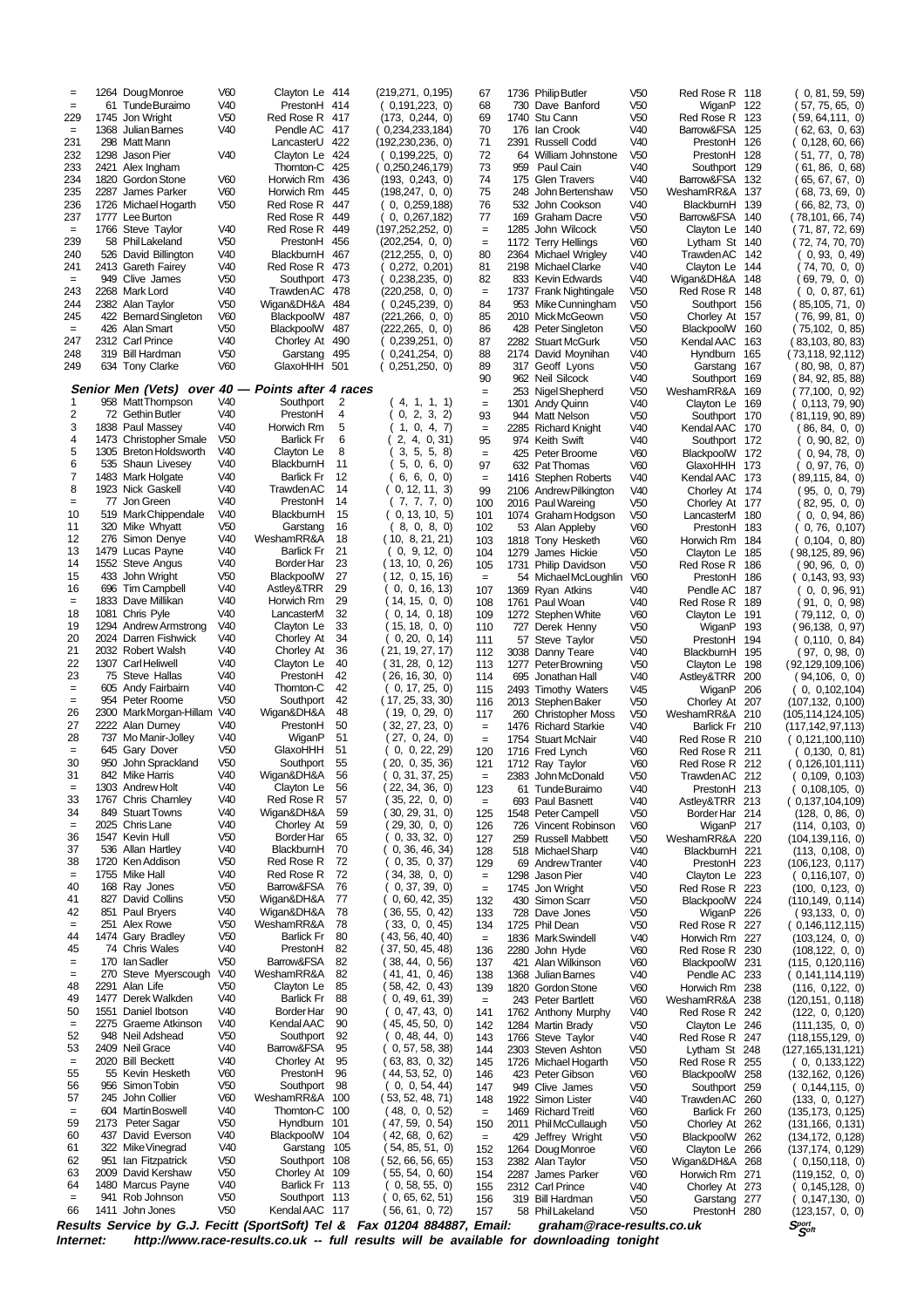| $=$<br>$=$     |      | 1264 Doug Monroe<br>61 Tunde Buraimo             | V60<br>V40                         | Clayton Le 414<br>PrestonH 414                                                          |            | (219,271, 0,195)   | 0,191,223, 0)                        | 67<br>68              |      | 1736 Philip Butler<br>730 Dave Banford      | V <sub>50</sub><br>V <sub>50</sub> | Red Rose R 118<br>WiganP 122     |            | 0, 81, 59, 59<br>(57, 75, 65, 0)                   |
|----------------|------|--------------------------------------------------|------------------------------------|-----------------------------------------------------------------------------------------|------------|--------------------|--------------------------------------|-----------------------|------|---------------------------------------------|------------------------------------|----------------------------------|------------|----------------------------------------------------|
| 229            |      | 1745 Jon Wright                                  | V <sub>50</sub>                    | Red Rose R 417                                                                          |            |                    | (173, 0,244, 0)                      | 69                    |      | 1740 Stu Cann                               | V <sub>50</sub>                    | Red Rose R                       | 123        | (59, 64, 111, 0)                                   |
| $=$            | 1368 | Julian Barnes                                    | V40                                | Pendle AC                                                                               | 417        |                    | 0,234,233,184)                       | 70                    |      | 176 Ian Crook                               | V40                                | Barrow&FSA                       | 125        | (62, 63, 0, 63)                                    |
| 231<br>232     |      | 298 Matt Mann<br>1298 Jason Pier                 | V40                                | LancasterU<br>Clayton Le 424                                                            | 422        | (192, 230, 236, 0) | 0,199,225, 0)                        | 71<br>72              | 2391 | Russell Codd<br>64 William Johnstone        | V40<br>V <sub>50</sub>             | PrestonH<br>PrestonH 128         | 126        | (0.128, 60, 66)<br>( 51, 77,  0, 78)               |
| 233            |      | 2421 Alex Ingham                                 |                                    | Thornton-C                                                                              | 425        | (0.250, 246, 179)  |                                      | 73                    | 959  | Paul Cain                                   | V40                                | Southport 129                    |            | 61, 86, 0, 68                                      |
| 234<br>235     |      | 1820 Gordon Stone<br>2287 James Parker           | V60<br>V60                         | Horwich Rm<br>Horwich Rm                                                                | 436<br>445 |                    | (193, 0,243, 0)<br>(198, 247, 0, 0)  | 74<br>75              | 248  | 175 Glen Travers<br>John Bertenshaw         | V40<br>V <sub>50</sub>             | Barrow&FSA 132<br>WeshamRR&A 137 |            | (65, 67, 67, 0)<br>68, 73, 69, 0                   |
| 236            |      | 1726 Michael Hogarth                             | V <sub>50</sub>                    | Red Rose R                                                                              | 447        |                    | 0, 0,259,188                         | 76                    |      | 532 John Cookson                            | V40                                | BlackburnH 139                   |            | 66, 82, 73, 0)                                     |
| 237            |      | 1777 Lee Burton                                  |                                    | Red Rose R                                                                              | 449        |                    | 0, 0,267,182                         | 77                    |      | 169 Graham Dacre                            | V <sub>50</sub>                    | Barrow&FSA 140                   |            | (78,101, 66, 74)                                   |
| $=$<br>239     |      | 1766 Steve Taylor<br>58 PhilLakeland             | V40<br>V <sub>50</sub>             | Red Rose R<br>PrestonH                                                                  | 449<br>456 | (197,252,252, 0)   | (202, 254, 0, 0)                     | $=$<br>$=$            | 1285 | John Wilcock<br>1172 Terry Hellings         | V <sub>50</sub><br>V60             | Clayton Le 140<br>Lytham St 140  |            | (71, 87, 72, 69)<br>(72, 74, 70, 70)               |
| 240            |      | 526 David Billington                             | V40                                | BlackburnH                                                                              | 467        |                    | (212, 255, 0, 0)                     | 80                    |      | 2364 Michael Wrigley                        | V40                                | Trawden AC                       | 142        | (0, 93, 0, 49)                                     |
| 241<br>$=$     |      | 2413 Gareth Fairey<br>949 Clive James            | V40<br>V <sub>50</sub>             | Red Rose R 473<br>Southport 473                                                         |            |                    | 0,272, 0,201<br>0,238,235, 0)        | 81<br>82              |      | 2198 Michael Clarke<br>833 Kevin Edwards    | V40<br>V40                         | Clayton Le 144<br>Wigan&DH&A     | 148        | (74, 70, 0, 0)<br>(69,79,0,0)                      |
| 243            |      | 2268 Mark Lord                                   | V40                                | <b>Trawden AC</b>                                                                       | 478        |                    | (220,258, 0, 0)                      | $=$                   |      | 1737 Frank Nightingale                      | V <sub>50</sub>                    | Red Rose R 148                   |            | (0, 0, 87, 61)                                     |
| 244            |      | 2382 Alan Taylor                                 | V <sub>50</sub><br>V60             | Wigan&DH&A                                                                              | 484        |                    | 0,245,239, 0)                        | 84                    |      | 953 Mike Cunningham                         | V <sub>50</sub>                    | Southport 156                    |            | (85, 105, 71, 0)                                   |
| 245<br>$=$     |      | 422 Bernard Singleton<br>426 Alan Smart          | V <sub>50</sub>                    | BlackpoolW<br>BlackpoolW                                                                | 487<br>487 |                    | (221,266, 0, 0)<br>(222,265, 0, 0)   | 85<br>86              |      | 2010 MickMcGeown<br>428 Peter Singleton     | V <sub>50</sub><br>V <sub>50</sub> | Chorley At 157<br>BlackpoolW     | 160        | (76, 99, 81, 0)<br>(75,102, 0, 85)                 |
| 247            |      | 2312 Carl Prince                                 | V40                                | Chorley At                                                                              | 490        |                    | 0,239,251, 0)                        | 87                    |      | 2282 Stuart McGurk                          | V <sub>50</sub>                    | Kendal AAC                       | 163        | ( 83,103, 80, 83)                                  |
| 248<br>249     |      | 319 Bill Hardman<br>634 Tony Clarke              | V <sub>50</sub><br>V60             | Garstang<br>GlaxoHHH 501                                                                | 495        |                    | 0,241,254,0)<br>0,251,250, 0)        | 88<br>89              |      | 2174 David Moynihan<br>317 Geoff Lyons      | V40<br>V <sub>50</sub>             | Hyndburn 165<br>Garstang         | 167        | ( 73,118, 92,112)<br>(80, 98, 0, 87)               |
|                |      |                                                  |                                    |                                                                                         |            |                    |                                      | 90                    |      | 962 Neil Silcock                            | V40                                | Southport                        | 169        | (84, 92, 85, 88)                                   |
| 1              |      | Senior Men (Vets) over 40<br>958 MattThompson    | V40                                | – Points after 4 races<br>Southport                                                     | 2          |                    | (4, 1, 1, 1)                         | $=$                   |      | 253 Nigel Shepherd                          | V <sub>50</sub><br>V40             | WeshamRR&A 169                   |            | (77, 100, 0, 92)                                   |
| 2              |      | 72 Gethin Butler                                 | V40                                | PrestonH                                                                                | 4          | 0,                 | 2, 3, 2)                             | $=$<br>93             |      | 1301 Andy Quinn<br>944 Matt Nelson          | V <sub>50</sub>                    | Clayton Le<br>Southport 170      | 169        | 0,113,79,90<br>(81, 119, 90, 89)                   |
| 3              |      | 1838 Paul Massey                                 | V40                                | Horwich Rm                                                                              | 5          | 1,                 | 0, 4, 7                              | $=$                   |      | 2285 Richard Knight                         | V40                                | Kendal AAC 170                   |            | (86,84,0,0)                                        |
| 4<br>5         |      | 1473 Christopher Smale<br>1305 Breton Holdsworth | V <sub>50</sub><br>V40             | <b>Barlick Fr</b><br>Clayton Le                                                         | 6<br>8     |                    | 2, 4, 0, 31<br>3, 5, 5, 8            | 95<br>$\quad \  \  =$ |      | 974 Keith Swift<br>425 Peter Broome         | V40<br>V60                         | Southport 172<br>BlackpoolW 172  |            | 0, 90, 82, 0<br>0, 94, 78, 0)                      |
| 6              |      | 535 Shaun Livesey                                | V40                                | BlackburnH                                                                              | 11         |                    | 5, 0, 6, 0                           | 97                    |      | 632 Pat Thomas                              | V60                                | GlaxoHHH 173                     |            | (0, 97, 76, 0)                                     |
| 7<br>8         |      | 1483 Mark Holgate<br>1923 Nick Gaskell           | V40<br>V40                         | <b>Barlick Fr</b><br>TrawdenAC                                                          | 12<br>14   |                    | 6, 6, 0, 0)<br>(0, 12, 11, 3)        | $\quad \  \  =$<br>99 |      | 1416 Stephen Roberts                        | V40<br>V40                         | Kendal AAC 173                   |            | (89, 115, 84, 0)                                   |
| $=$            |      | 77 Jon Green                                     | V40                                | PrestonH                                                                                | 14         |                    | (7, 7, 7, 0)                         | 100                   |      | 2106 Andrew Pilkington<br>2016 Paul Wareing | V <sub>50</sub>                    | Chorley At 174<br>Chorley At 177 |            | (95, 0, 0, 79)<br>(82,95,0,0)                      |
| 10             |      | 519 Mark Chippendale                             | V40                                | BlackburnH                                                                              | 15         |                    | (0, 13, 10, 5)                       | 101                   |      | 1074 Graham Hodgson                         | V <sub>50</sub>                    | LancasterM 180                   |            | 0, 0, 94, 86                                       |
| 11<br>12       |      | 320 Mike Whyatt<br>276 Simon Denye               | V <sub>50</sub><br>V40             | Garstang<br>WeshamRR&A                                                                  | 16<br>18   |                    | (8, 0, 8, 0)<br>(10, 8, 21, 21)      | 102<br>103            |      | 53 Alan Appleby<br>1818 Tony Hesketh        | V60<br>V60                         | PrestonH 183<br>Horwich Rm 184   |            | 0, 76, 0, 107<br>0,104, 0,80                       |
| 13             |      | 1479 Lucas Payne                                 | V40                                | Barlick Fr                                                                              | 21         |                    | (0, 9, 12, 0)                        | 104                   | 1279 | James Hickie                                | V <sub>50</sub>                    | Clayton Le                       | 185        | (98, 125, 89, 96)                                  |
| 14<br>15       |      | 1552 Steve Angus<br>433 John Wright              | V40<br>V <sub>50</sub>             | Border Har<br>BlackpoolW                                                                | 23<br>27   |                    | (13, 10, 0, 26)<br>(12, 0, 15, 16)   | 105                   |      | 1731 Philip Davidson                        | V <sub>50</sub><br>V60             | Red Rose R 186                   |            | (90,96,0,0)                                        |
| 16             |      | 696 Tim Campbell                                 | V40                                | Astley&TRR                                                                              | 29         |                    | 0, 0, 16, 13                         | $=$<br>107            |      | 54 Michael McLoughlin<br>1369 Ryan Atkins   | V40                                | PrestonH<br>Pendle AC            | 186<br>187 | (0, 143, 93, 93)<br>(0, 0, 96, 91)                 |
| $=$            |      | 1833 Dave Millikan                               | V40                                | Horwich Rm                                                                              | 29         |                    | 14, 15, 0, 0                         | 108                   |      | 1761 Paul Woan                              | V40                                | Red Rose R 189                   |            | (91, 0, 0, 98)                                     |
| 18<br>19       | 1294 | 1081 Chris Pyle<br><b>Andrew Armstrong</b>       | V40<br>V40                         | LancasterM<br>Clayton Le                                                                | 32<br>33   |                    | 0, 14, 0, 18<br>15, 18, 0, 0)        | 109<br>110            |      | 1272 Stephen White<br>727 Derek Henny       | V60<br>V <sub>50</sub>             | Clayton Le<br>WiganP             | 191<br>193 | (79, 112, 0, 0)<br>(96,138, 0,97)                  |
| 20             |      | 2024 Darren Fishwick                             | V40                                | Chorley At                                                                              | 34         |                    | 0, 20, 0, 14                         | 111                   |      | 57 Steve Taylor                             | V <sub>50</sub>                    | PrestonH 194                     |            | 0,110, 0, 84)                                      |
| 21<br>22       |      | 2032 Robert Walsh<br>1307 Carl Heliwell          | V40<br>V40                         | Chorley At<br>Clayton Le                                                                | 36<br>40   |                    | ( 21, 19, 27, 17)<br>(31, 28, 0, 12) | 112<br>113            |      | 3038 Danny Teare<br>1277 Peter Browning     | V40<br>V <sub>50</sub>             | BlackburnH 195<br>Clayton Le     | 198        | (97, 0,98, 0)<br>(92,129,109,106)                  |
| 23             |      | 75 Steve Hallas                                  | V40                                | PrestonH                                                                                | 42         |                    | (26, 16, 30, 0)                      | 114                   | 695  | Jonathan Hall                               | V40                                | Astley&TRR 200                   |            | (94, 106, 0, 0)                                    |
| $=$<br>$=$     |      | 605 Andy Fairbairn<br>954 Peter Roome            | V40<br>V <sub>50</sub>             | Thornton-C<br>Southport                                                                 | 42<br>42   |                    | (0, 17, 25, 0)<br>(17, 25, 33, 30)   | 115                   |      | 2493 Timothy Waters                         | V45                                | WiganP                           | 206        | (0, 0, 102, 104)                                   |
| 26             |      | 2300 Mark Morgan-Hillam V40                      |                                    | Wigan&DH&A                                                                              | 48         |                    | (19, 0, 29, 0)                       | 116<br>117            |      | 2013 Stephen Baker<br>260 Christopher Moss  | V <sub>50</sub><br>V <sub>50</sub> | Chorley At<br>WeshamRR&A 210     | 207        | (107, 132, 0, 100)<br>(105,114,124,105)            |
| 27             |      | 2222 Alan Durney                                 | V40                                | PrestonH                                                                                | 50         |                    | (32, 27, 23, 0)                      | $\equiv$              |      | 1476 Richard Starkie                        | V40                                | Barlick Fr 210                   |            | (117, 142, 97, 113)                                |
| 28<br>$\equiv$ |      | 737 Mo Manir-Jolley<br>645 Gary Dover            | V40<br>V <sub>50</sub>             | WiganP<br>GlaxoHHH                                                                      | 51<br>51   |                    | (27, 0, 24, 0)<br>0, 0, 22, 29       | $=$<br>120            |      | 1754 Stuart McNair<br>1716 Fred Lynch       | V40<br>V60                         | Red Rose R 210<br>Red Rose R 211 |            | (0,121,100,110)<br>(0,130, 0, 81)                  |
| 30             | 950  | John Sprackland                                  | V <sub>50</sub>                    | Southport                                                                               | 55         |                    | 20, 0, 35, 36                        | 121                   |      | 1712 Ray Taylor                             | V60                                | Red Rose R 212                   |            | (0,126,101,111)                                    |
| 31<br>$=$      |      | 842 Mike Harris<br>1303 Andrew Holt              | V <sub>40</sub><br>V40             | Wigan&DH&A<br>Clayton Le                                                                | 56<br>56   |                    | 0, 31, 37, 25<br>22, 34, 36, 0       | $=$<br>123            |      | 2383 John McDonald<br>61 Tunde Buraimo      | V <sub>50</sub><br>V40             | Trawden AC 212<br>PrestonH 213   |            | (0,109, 0,103)<br>(0,108,105, 0)                   |
| 33             |      | 1767 Chris Charnley                              | V40                                | Red Rose R                                                                              | 57         |                    | 35, 22, 0, 0                         | $\equiv$              |      | 693 Paul Basnett                            | V40                                | Astley&TRR 213                   |            | (0,137,104,109)                                    |
| 34             |      | 849 Stuart Towns<br>2025 Chris Lane              | V40<br>V40                         | Wigan&DH&A                                                                              | 59         |                    | 30, 29, 31, 0                        | 125                   |      | 1548 Peter Campell                          | V <sub>50</sub>                    | Border Har 214                   |            | (128, 0, 86, 0)                                    |
| $=$<br>36      |      | 1547 Kevin Hull                                  | V <sub>50</sub>                    | Chorley At<br>Border Har                                                                | 59<br>65   |                    | 29, 30, 0, 0)<br>0, 33, 32, 0)       | 126<br>127            |      | 726 Vincent Robinson<br>259 Russell Mabbett | V60<br>V <sub>50</sub>             | WiganP 217<br>WeshamRR&A 220     |            | (114, 0, 103, 0)<br>(104, 139, 116, 0)             |
| 37             |      | 536 Allan Hartley                                | V40                                | BlackburnH                                                                              | 70         |                    | 0, 36, 46, 34                        | 128                   |      | 518 Michael Sharp                           | V40                                | BlackburnH 221                   |            | (113, 0, 108, 0)                                   |
| 38<br>$=$      |      | 1720 Ken Addison<br>1755 Mike Hall               | V <sub>50</sub><br>V40             | Red Rose R<br>Red Rose R                                                                | 72<br>72   |                    | 0, 35, 0, 37<br>34, 38, 0, 0         | 129<br>$\equiv$       |      | 69 Andrew Tranter<br>1298 Jason Pier        | V40<br>V40                         | PrestonH 223<br>Clayton Le 223   |            | (106, 123, 0, 117)<br>(0,116,107, 0)               |
| 40             |      | 168 Ray Jones                                    | V <sub>50</sub>                    | Barrow&FSA                                                                              | 76         |                    | 0, 37, 39, 0)                        | $\quad =$             |      | 1745 Jon Wright                             | V <sub>50</sub>                    | Red Rose R 223                   |            | (100, 0, 123, 0)                                   |
| 41<br>42       |      | 827 David Collins<br>851 Paul Bryers             | V <sub>50</sub><br>V40             | Wigan&DH&A<br>Wigan&DH&A                                                                | 77<br>78   |                    | 0, 60, 42, 35)<br>36, 55, 0, 42)     | 132<br>133            |      | 430 Simon Scarr<br>728 Dave Jones           | V <sub>50</sub><br>V <sub>50</sub> | BlackpoolW 224<br>WiganP 226     |            | (110, 149, 0, 114)                                 |
| $=$            |      | 251 Alex Rowe                                    | V <sub>50</sub>                    | WeshamRR&A                                                                              | 78         |                    | (33, 0, 0, 45)                       | 134                   |      | 1725 Phil Dean                              | V <sub>50</sub>                    | Red Rose R 227                   |            | (93, 133, 0, 0)<br>(0,146,112,115)                 |
| 44             |      | 1474 Gary Bradley                                | V <sub>50</sub>                    | <b>Barlick Fr</b>                                                                       | 80         |                    | (43, 56, 40, 40)                     | $\equiv$              |      | 1836 Mark Swindell                          | V40                                | Horwich Rm 227                   |            | (103, 124, 0, 0)                                   |
| 45<br>$=$      |      | 74 Chris Wales<br>170 Ian Sadler                 | V40<br>V <sub>50</sub>             | PrestonH<br>Barrow&FSA                                                                  | 82<br>82   |                    | (37, 50, 45, 48)<br>38, 44, 0, 56    | 136<br>137            |      | 2280 John Hyde<br>421 Alan Wilkinson        | V <sub>60</sub><br>V60             | Red Rose R 230<br>BlackpoolW 231 |            | (108, 122, 0, 0)<br>(115, 0, 120, 116)             |
| $=$            |      | 270 Steve Myerscough                             | V40                                | WeshamRR&A                                                                              | 82         |                    | (41, 41, 0, 46)                      | 138                   |      | 1368 Julian Barnes                          | V40                                | Pendle AC 233                    |            | (0,141,114,119)                                    |
| 48<br>49       |      | 2291 Alan Life<br>1477 Derek Walkden             | V <sub>50</sub><br>V40             | Clayton Le<br><b>Barlick Fr</b>                                                         | 85<br>88   |                    | 58, 42, 0, 43)<br>0, 49, 61, 39      | 139<br>$\equiv$       |      | 1820 Gordon Stone<br>243 Peter Bartlett     | V60<br>V60                         | Horwich Rm 238<br>WeshamRR&A 238 |            | (116, 0, 122, 0)<br>(120, 151, 0, 118)             |
| 50             |      | 1551 Daniel Ibotson                              | V40                                | Border Har                                                                              | 90         |                    | 0, 47, 43, 0)                        | 141                   |      | 1762 Anthony Murphy                         | V40                                | Red Rose R 242                   |            | (122, 0, 0, 120)                                   |
| $=$<br>52      |      | 2275 Graeme Atkinson<br>948 Neil Adshead         | V40<br>V <sub>50</sub>             | Kendal AAC<br>Southport                                                                 | 90<br>92   |                    | (45, 45, 50, 0)                      | 142                   |      | 1284 Martin Brady                           | V <sub>50</sub>                    | Clayton Le 246                   |            | (111, 135, 0, 0)                                   |
| 53             |      | 2409 Neil Grace                                  | V40                                | Barrow&FSA                                                                              | 95         |                    | (0, 48, 44, 0)<br>0, 57, 58, 38      | 143<br>144            |      | 1766 Steve Taylor<br>2303 Steven Ashton     | V40<br>V <sub>50</sub>             | Red Rose R 247<br>Lytham St 248  |            | (118, 155, 129, 0)<br>(127, 165, 131, 121)         |
| $=$            |      | 2020 Bill Beckett                                | V40                                | Chorley At                                                                              | 95         |                    | 63, 83, 0, 32                        | 145                   |      | 1726 Michael Hogarth                        | V <sub>50</sub>                    | Red Rose R 255                   |            | (0, 0, 133, 122)                                   |
| 55<br>56       |      | 55 Kevin Hesketh<br>956 Simon Tobin              | V60<br>V <sub>50</sub>             | PrestonH<br>Southport                                                                   | 96<br>98   |                    | (44, 53, 52, 0)<br>0, 0, 54, 44      | 146<br>147            |      | 423 Peter Gibson<br>949 Clive James         | V60<br>V <sub>50</sub>             | BlackpoolW 258<br>Southport 259  |            | (132, 162, 0, 126)<br>(0,144,115,0)                |
| 57             |      | 245 John Collier                                 | V60                                | WeshamRR&A                                                                              | 100        |                    | (53, 52, 48, 71)                     | 148                   |      | 1922 Simon Lister                           | V40                                | Trawden AC 260                   |            | (133, 0, 0, 127)                                   |
| $=$<br>59      |      | 604 Martin Boswell<br>2173 Peter Sagar           | V40<br>V <sub>50</sub>             | Thornton-C<br>Hyndburn                                                                  | 100<br>101 |                    | (48, 0, 0, 52)                       | $\equiv$              |      | 1469 Richard Treitl                         | V60                                | Barlick Fr 260                   |            | (135, 173, 0, 125)                                 |
| 60             |      | 437 David Everson                                | V40                                | BlackpoolW 104                                                                          |            |                    | (47, 59, 0, 54)<br>(42, 68, 0, 62)   | 150<br>$\equiv$       | 429  | 2011 Phil McCullaugh<br>Jeffrey Wright      | V <sub>50</sub><br>V <sub>50</sub> | Chorley At 262<br>BlackpoolW 262 |            | (131, 166, 0, 131)<br>(134, 172, 0, 128)           |
| 61             |      | 322 Mike Vinegrad                                | V40                                | Garstang 105                                                                            |            |                    | (54, 85, 51, 0)                      | 152                   |      | 1264 Doug Monroe                            | V60                                | Clayton Le 266                   |            | (137, 174, 0, 129)                                 |
| 62<br>63       |      | 951 Ian Fitzpatrick<br>2009 David Kershaw        | V <sub>50</sub><br>V <sub>50</sub> | Southport 108<br>Chorley At 109                                                         |            |                    | (52, 66, 56, 65)<br>(55, 54, 0, 60)  | 153<br>154            |      | 2382 Alan Taylor<br>2287 James Parker       | V <sub>50</sub><br>V60             | Wigan&DH&A 268<br>Horwich Rm 271 |            | (0,150,118, 0)<br>(119, 152, 0, 0)                 |
| 64             |      | 1480 Marcus Payne                                | V40                                | Barlick Fr 113                                                                          |            |                    | (0, 58, 55, 0)                       | 155                   |      | 2312 Carl Prince                            | V40                                | Chorley At 273                   |            | 0,145,128, 0)                                      |
| $=$<br>66      |      | 941 Rob Johnson<br>1411 John Jones               | V <sub>50</sub><br>V <sub>50</sub> | Southport 113<br>Kendal AAC 117                                                         |            |                    | (0, 65, 62, 51)<br>(56, 61, 0, 72)   | 156<br>157            |      | 319 Bill Hardman<br>58 Phil Lakeland        | V <sub>50</sub><br>V <sub>50</sub> | Garstang 277<br>PrestonH 280     |            | 0,147,130, 0)                                      |
|                |      |                                                  |                                    | Results Service by G.J. Fecitt (SportSoft) Tel & Fax 01204 884887, Email:               |            |                    |                                      |                       |      | graham@race-results.co.uk                   |                                    |                                  |            | (123, 157, 0, 0)<br>$S_{\mathcal{S}^{opt}}^{port}$ |
| Internet:      |      |                                                  |                                    | http://www.race-results.co.uk -- full results will be available for downloading tonight |            |                    |                                      |                       |      |                                             |                                    |                                  |            |                                                    |